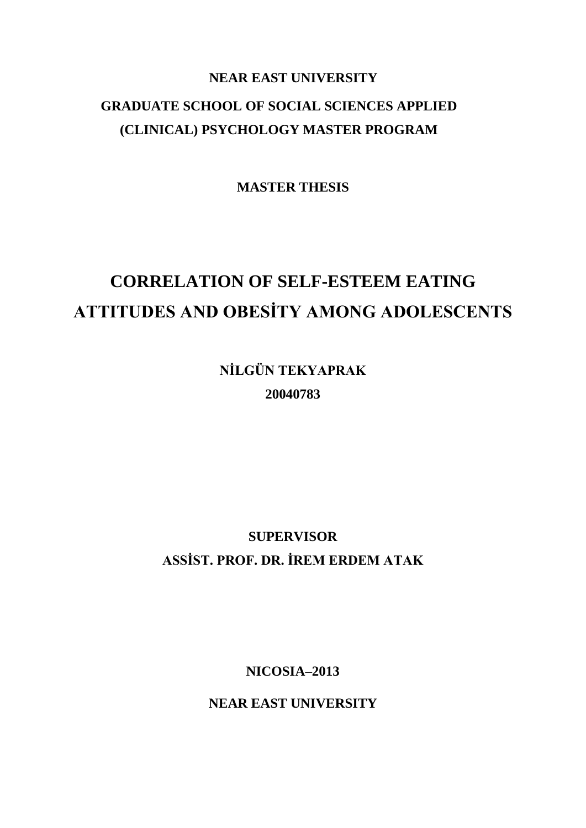## **NEAR EAST UNIVERSITY GRADUATE SCHOOL OF SOCIAL SCIENCES APPLIED (CLINICAL) PSYCHOLOGY MASTER PROGRAM**

**MASTER THESIS**

# **CORRELATION OF SELF-ESTEEM EATING ATTITUDES AND OBESİTY AMONG ADOLESCENTS**

**NİLGÜN TEKYAPRAK 20040783**

**SUPERVISOR ASSİST. PROF. DR. İREM ERDEM ATAK**

**NICOSIA–2013**

**NEAR EAST UNIVERSITY**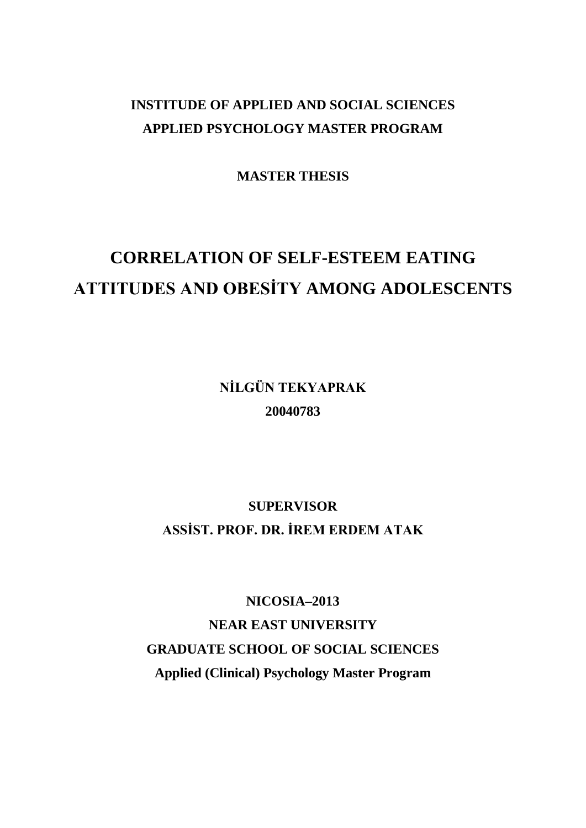## **INSTITUDE OF APPLIED AND SOCIAL SCIENCES APPLIED PSYCHOLOGY MASTER PROGRAM**

**MASTER THESIS**

# **CORRELATION OF SELF-ESTEEM EATING ATTITUDES AND OBESİTY AMONG ADOLESCENTS**

**NİLGÜN TEKYAPRAK 20040783**

## **SUPERVISOR ASSİST. PROF. DR. İREM ERDEM ATAK**

**NICOSIA–2013 NEAR EAST UNIVERSITY GRADUATE SCHOOL OF SOCIAL SCIENCES Applied (Clinical) Psychology Master Program**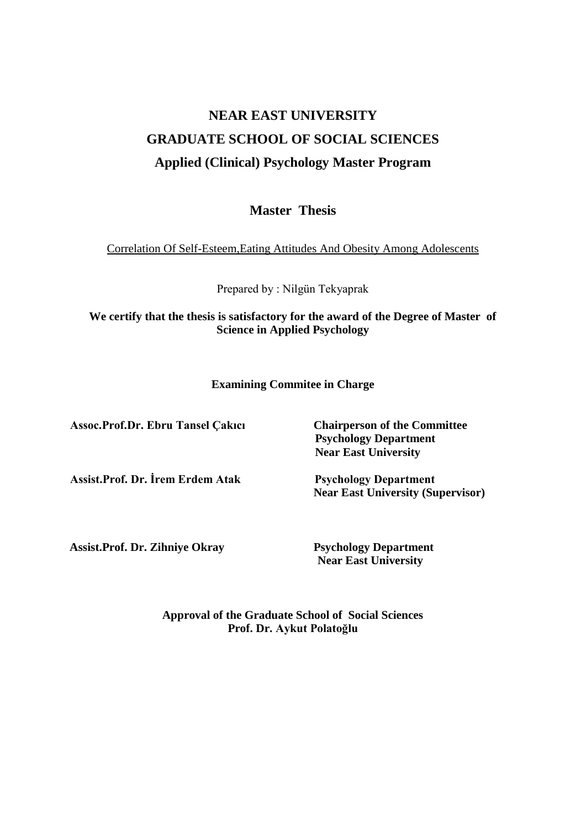## **NEAR EAST UNIVERSITY GRADUATE SCHOOL OF SOCIAL SCIENCES Applied (Clinical) Psychology Master Program**

**Master Thesis**

Correlation Of Self-Esteem,Eating Attitudes And Obesity Among Adolescents

Prepared by : Nilgün Tekyaprak

### **We certify that the thesis is satisfactory for the award of the Degree of Master of Science in Applied Psychology**

#### **Examining Commitee in Charge**

**Assoc.Prof.Dr. Ebru Tansel Çakıcı Chairperson of the Committee**

**Assist.Prof. Dr. İrem Erdem Atak Psychology Department**

 **Psychology Department Near East University**

**Near East University (Supervisor)**

**Assist.Prof. Dr. Zihniye Okray Psychology Department**

 **Near East University** 

**Approval of the Graduate School of Social Sciences Prof. Dr. Aykut Polatoğlu**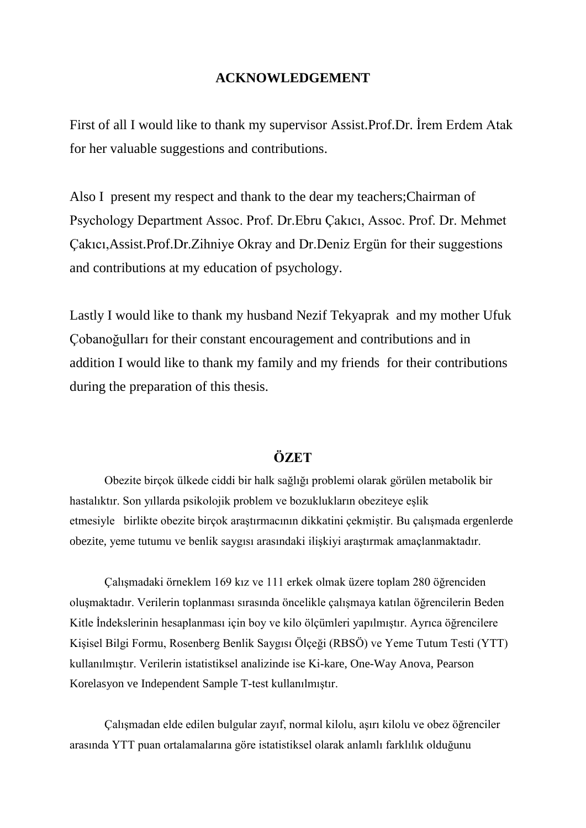### **ACKNOWLEDGEMENT**

First of all I would like to thank my supervisor Assist. Prof. Dr. İrem Erdem Atak for her valuable suggestions and contributions.

Also I present my respect and thank to the dear my teachers;Chairman of Psychology Department Assoc. Prof. Dr.Ebru Çakıcı, Assoc. Prof. Dr. Mehmet Çakıcı,Assist.Prof.Dr.Zihniye Okray and Dr.Deniz Ergün for their suggestions and contributions at my education of psychology.

Lastly I would like to thank my husband Nezif Tekyaprak and my mother Ufuk Çobanoğulları for their constant encouragement and contributions and in addition I would like to thank my family and my friends for their contributions during the preparation of this thesis.

## **ÖZET**

Obezite birçok ülkede ciddi bir halk sağlığı problemi olarak görülen metabolik bir hastalıktır. Son yıllarda psikolojik problem ve bozuklukların obeziteye eşlik etmesiyle birlikte obezite birçok araştırmacının dikkatini çekmiştir. Bu çalışmada ergenlerde obezite, yeme tutumu ve benlik saygısı arasındaki ilişkiyi araştırmak amaçlanmaktadır.

ÇalıĢmadaki örneklem 169 kız ve 111 erkek olmak üzere toplam 280 öğrenciden oluşmaktadır. Verilerin toplanması sırasında öncelikle çalışmaya katılan öğrencilerin Beden Kitle İndekslerinin hesaplanması için boy ve kilo ölçümleri yapılmıştır. Ayrıca öğrencilere Kişisel Bilgi Formu, Rosenberg Benlik Saygısı Ölçeği (RBSÖ) ve Yeme Tutum Testi (YTT) kullanılmıştır. Verilerin istatistiksel analizinde ise Ki-kare, One-Way Anova, Pearson Korelasyon ve Independent Sample T-test kullanılmıştır.

ÇalıĢmadan elde edilen bulgular zayıf, normal kilolu, aĢırı kilolu ve obez öğrenciler arasında YTT puan ortalamalarına göre istatistiksel olarak anlamlı farklılık olduğunu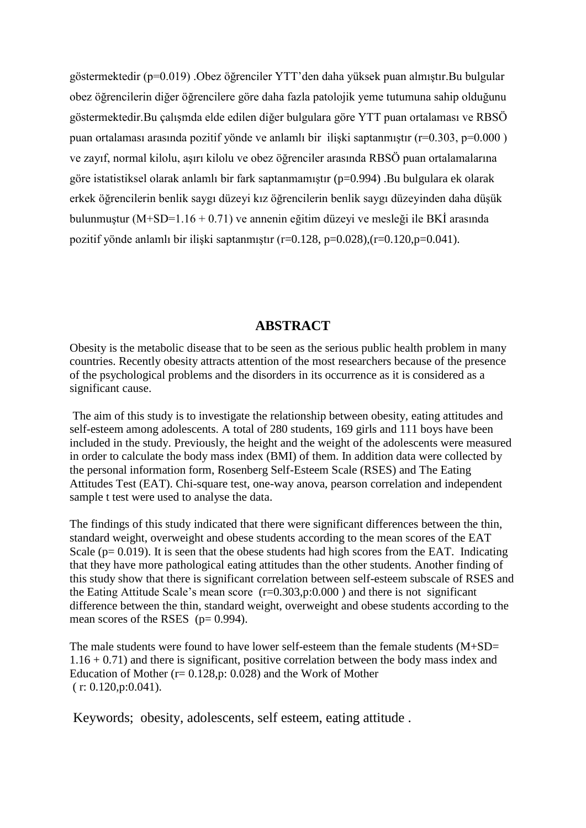göstermektedir (p=0.019) .Obez öğrenciler YTT'den daha yüksek puan almıştır.Bu bulgular obez öğrencilerin diğer öğrencilere göre daha fazla patolojik yeme tutumuna sahip olduğunu göstermektedir. Bu çalışmda elde edilen diğer bulgulara göre YTT puan ortalaması ve RBSÖ puan ortalaması arasında pozitif yönde ve anlamlı bir ilişki saptanmıştır ( $r=0.303$ ,  $p=0.000$ ) ve zayıf, normal kilolu, asırı kilolu ve obez öğrenciler arasında RBSÖ puan ortalamalarına göre istatistiksel olarak anlamlı bir fark saptanmamıştır (p=0.994) .Bu bulgulara ek olarak erkek öğrencilerin benlik saygı düzeyi kız öğrencilerin benlik saygı düzeyinden daha düşük bulunmuştur (M+SD=1.16 + 0.71) ve annenin eğitim düzeyi ve mesleği ile BKİ arasında pozitif yönde anlamlı bir ilişki saptanmıştır (r=0.128, p=0.028),(r=0.120,p=0.041).

#### **ABSTRACT**

Obesity is the metabolic disease that to be seen as the serious public health problem in many countries. Recently obesity attracts attention of the most researchers because of the presence of the psychological problems and the disorders in its occurrence as it is considered as a significant cause.

The aim of this study is to investigate the relationship between obesity, eating attitudes and self-esteem among adolescents. A total of 280 students, 169 girls and 111 boys have been included in the study. Previously, the height and the weight of the adolescents were measured in order to calculate the body mass index (BMI) of them. In addition data were collected by the personal information form, Rosenberg Self-Esteem Scale (RSES) and The Eating Attitudes Test (EAT). Chi-square test, one-way anova, pearson correlation and independent sample t test were used to analyse the data.

The findings of this study indicated that there were significant differences between the thin, standard weight, overweight and obese students according to the mean scores of the EAT Scale ( $p= 0.019$ ). It is seen that the obese students had high scores from the EAT. Indicating that they have more pathological eating attitudes than the other students. Another finding of this study show that there is significant correlation between self-esteem subscale of RSES and the Eating Attitude Scale's mean score  $(r=0.303,p:0.000)$  and there is not significant difference between the thin, standard weight, overweight and obese students according to the mean scores of the RSES  $(p= 0.994)$ .

The male students were found to have lower self-esteem than the female students (M+SD= 1.16 + 0.71) and there is significant, positive correlation between the body mass index and Education of Mother  $(r= 0.128, p: 0.028)$  and the Work of Mother  $(r: 0.120, p: 0.041)$ .

Keywords; obesity, adolescents, self esteem, eating attitude .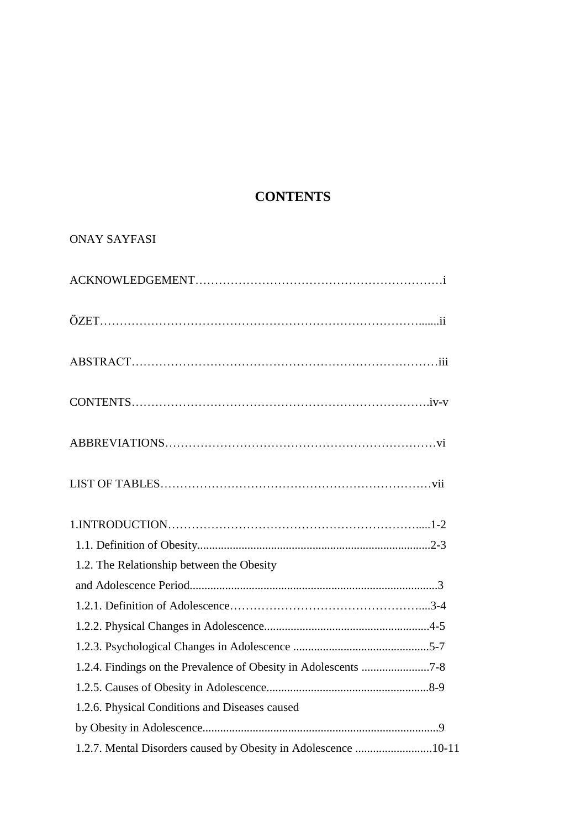## **CONTENTS**

## ONAY SAYFASI

| 1.2. The Relationship between the Obesity                      |
|----------------------------------------------------------------|
|                                                                |
|                                                                |
|                                                                |
|                                                                |
|                                                                |
|                                                                |
| 1.2.6. Physical Conditions and Diseases caused                 |
|                                                                |
| 1.2.7. Mental Disorders caused by Obesity in Adolescence 10-11 |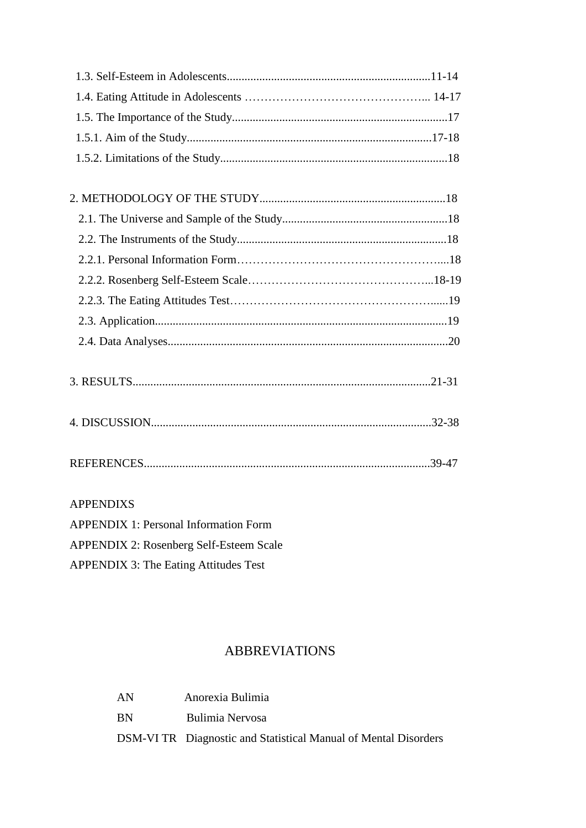- 3. RESULTS.....................................................................................................21-31
- 4. DISCUSSION...............................................................................................32-38
- REFERENCES.................................................................................................39-47

## APPENDIXS

| <b>APPENDIX 1: Personal Information Form</b>   |
|------------------------------------------------|
| <b>APPENDIX 2: Rosenberg Self-Esteem Scale</b> |
| <b>APPENDIX 3: The Eating Attitudes Test</b>   |

## ABBREVIATIONS

| AN        | Anorexia Bulimia                                                |
|-----------|-----------------------------------------------------------------|
| <b>RN</b> | Bulimia Nervosa                                                 |
|           | DSM-VI TR Diagnostic and Statistical Manual of Mental Disorders |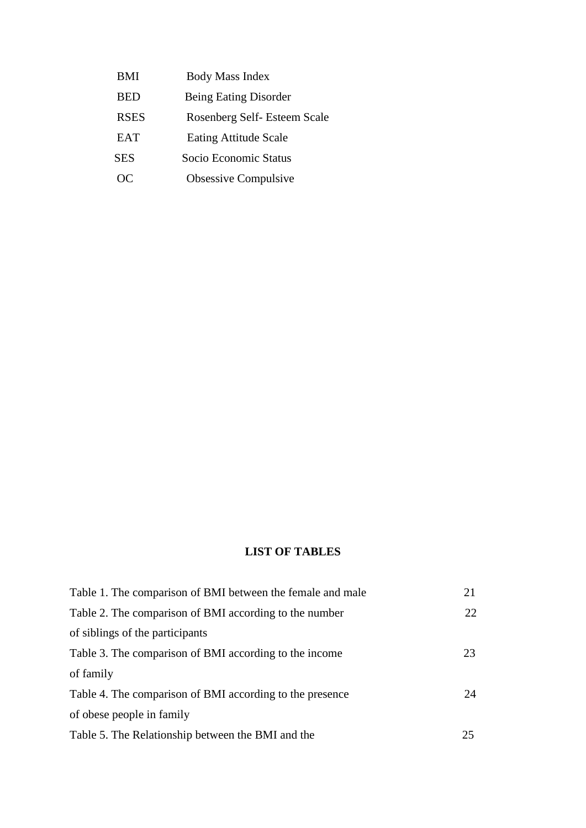BMI Body Mass Index BED Being Eating Disorder RSES Rosenberg Self- Esteem Scale EAT Eating Attitude Scale SES Socio Economic Status OC Obsessive Compulsive

#### **LIST OF TABLES**

| Table 1. The comparison of BMI between the female and male | 21 |
|------------------------------------------------------------|----|
| Table 2. The comparison of BMI according to the number     | 22 |
| of siblings of the participants                            |    |
| Table 3. The comparison of BMI according to the income     | 23 |
| of family                                                  |    |
| Table 4. The comparison of BMI according to the presence   | 24 |
| of obese people in family                                  |    |
| Table 5. The Relationship between the BMI and the          | 25 |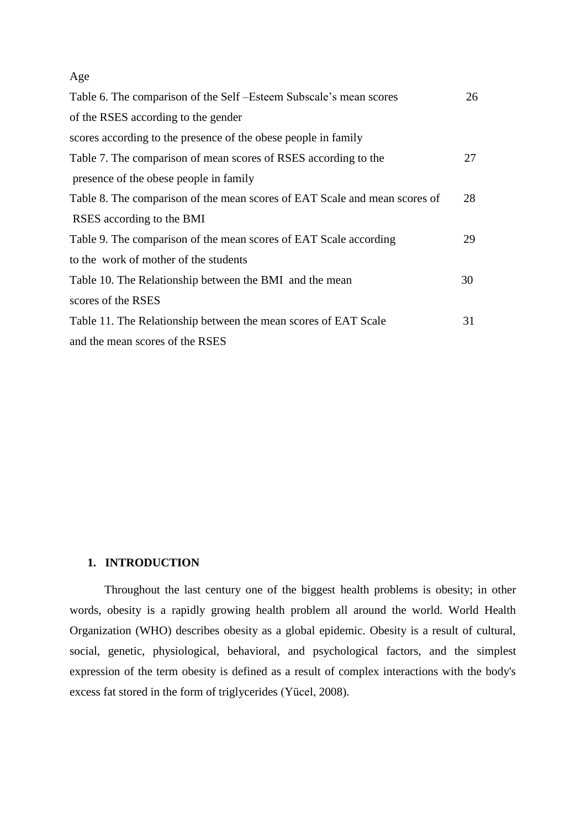#### Age

| Table 6. The comparison of the Self - Esteem Subscale's mean scores        | 26 |
|----------------------------------------------------------------------------|----|
| of the RSES according to the gender                                        |    |
| scores according to the presence of the obese people in family             |    |
| Table 7. The comparison of mean scores of RSES according to the            | 27 |
| presence of the obese people in family                                     |    |
| Table 8. The comparison of the mean scores of EAT Scale and mean scores of | 28 |
| RSES according to the BMI                                                  |    |
| Table 9. The comparison of the mean scores of EAT Scale according          | 29 |
| to the work of mother of the students                                      |    |
| Table 10. The Relationship between the BMI and the mean                    | 30 |
| scores of the RSES                                                         |    |
| Table 11. The Relationship between the mean scores of EAT Scale            | 31 |
| and the mean scores of the RSES                                            |    |

#### **1. INTRODUCTION**

Throughout the last century one of the biggest health problems is obesity; in other words, obesity is a rapidly growing health problem all around the world. World Health Organization (WHO) describes obesity as a global epidemic. Obesity is a result of cultural, social, genetic, physiological, behavioral, and psychological factors, and the simplest expression of the term obesity is defined as a result of complex interactions with the body's excess fat stored in the form of triglycerides (Yücel, 2008).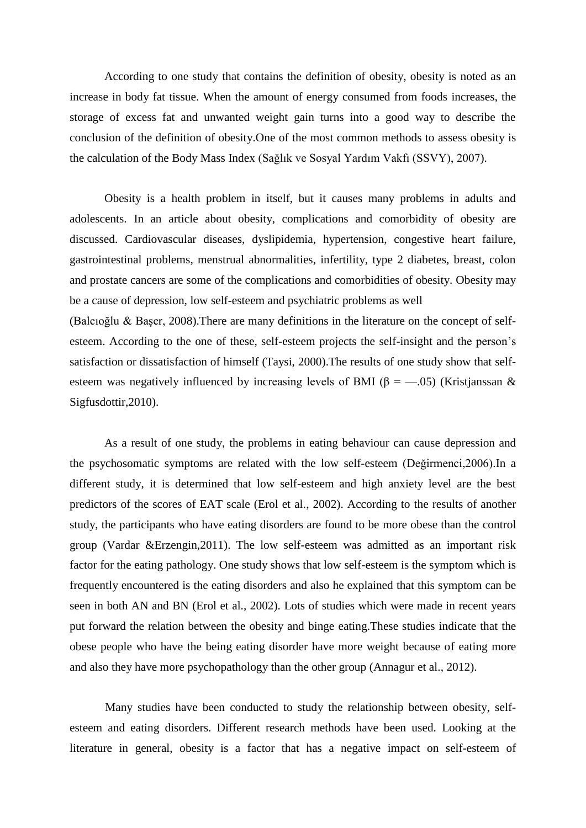According to one study that contains the definition of obesity, obesity is noted as an increase in body fat tissue. When the amount of energy consumed from foods increases, the storage of excess fat and unwanted weight gain turns into a good way to describe the conclusion of the definition of obesity.One of the most common methods to assess obesity is the calculation of the Body Mass Index (Sağlık ve Sosyal Yardım Vakfı (SSVY), 2007).

Obesity is a health problem in itself, but it causes many problems in adults and adolescents. In an article about obesity, complications and comorbidity of obesity are discussed. Cardiovascular diseases, dyslipidemia, hypertension, congestive heart failure, gastrointestinal problems, menstrual abnormalities, infertility, type 2 diabetes, breast, colon and prostate cancers are some of the complications and comorbidities of obesity. Obesity may be a cause of depression, low self-esteem and psychiatric problems as well (Balcıoğlu & Başer, 2008). There are many definitions in the literature on the concept of selfesteem. According to the one of these, self-esteem projects the self-insight and the person's satisfaction or dissatisfaction of himself (Taysi, 2000).The results of one study show that self-

esteem was negatively influenced by increasing levels of BMI ( $\beta = -.05$ ) (Kristjanssan & Sigfusdottir,2010).

As a result of one study, the problems in eating behaviour can cause depression and the psychosomatic symptoms are related with the low self-esteem (Değirmenci,2006).In a different study, it is determined that low self-esteem and high anxiety level are the best predictors of the scores of EAT scale (Erol et al., 2002). According to the results of another study, the participants who have eating disorders are found to be more obese than the control group (Vardar &Erzengin,2011). The low self-esteem was admitted as an important risk factor for the eating pathology. One study shows that low self-esteem is the symptom which is frequently encountered is the eating disorders and also he explained that this symptom can be seen in both AN and BN (Erol et al., 2002). Lots of studies which were made in recent years put forward the relation between the obesity and binge eating.These studies indicate that the obese people who have the being eating disorder have more weight because of eating more and also they have more psychopathology than the other group (Annagur et al., 2012).

Many studies have been conducted to study the relationship between obesity, selfesteem and eating disorders. Different research methods have been used. Looking at the literature in general, obesity is a factor that has a negative impact on self-esteem of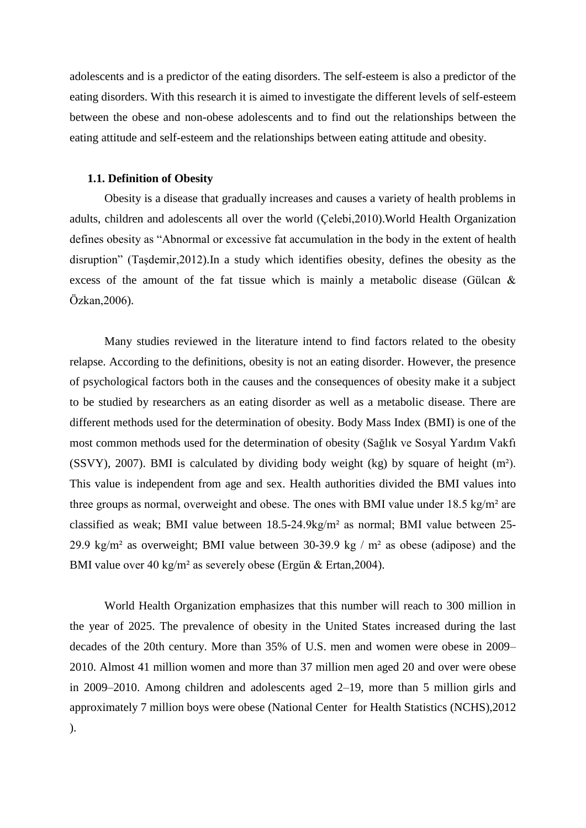adolescents and is a predictor of the eating disorders. The self-esteem is also a predictor of the eating disorders. With this research it is aimed to investigate the different levels of self-esteem between the obese and non-obese adolescents and to find out the relationships between the eating attitude and self-esteem and the relationships between eating attitude and obesity.

#### **1.1. Definition of Obesity**

Obesity is a disease that gradually increases and causes a variety of health problems in adults, children and adolescents all over the world (Çelebi,2010).World Health Organization defines obesity as "Abnormal or excessive fat accumulation in the body in the extent of health disruption" (Taşdemir, 2012). In a study which identifies obesity, defines the obesity as the excess of the amount of the fat tissue which is mainly a metabolic disease (Gülcan & Özkan,2006).

Many studies reviewed in the literature intend to find factors related to the obesity relapse. According to the definitions, obesity is not an eating disorder. However, the presence of psychological factors both in the causes and the consequences of obesity make it a subject to be studied by researchers as an eating disorder as well as a metabolic disease. There are different methods used for the determination of obesity. Body Mass Index (BMI) is one of the most common methods used for the determination of obesity (Sağlık ve Sosyal Yardım Vakfı (SSVY), 2007). BMI is calculated by dividing body weight (kg) by square of height  $(m<sup>2</sup>)$ . This value is independent from age and sex. Health authorities divided the BMI values into three groups as normal, overweight and obese. The ones with BMI value under 18.5 kg/m² are classified as weak; BMI value between 18.5-24.9kg/m² as normal; BMI value between 25- 29.9 kg/m<sup>2</sup> as overweight; BMI value between 30-39.9 kg / m<sup>2</sup> as obese (adipose) and the BMI value over 40 kg/m² as severely obese (Ergün & Ertan,2004).

World Health Organization emphasizes that this number will reach to 300 million in the year of 2025. The prevalence of obesity in the United States increased during the last decades of the 20th century. More than 35% of U.S. men and women were obese in 2009– 2010. Almost 41 million women and more than 37 million men aged 20 and over were obese in 2009–2010. Among children and adolescents aged 2–19, more than 5 million girls and approximately 7 million boys were obese (National Center for Health Statistics (NCHS),2012 ).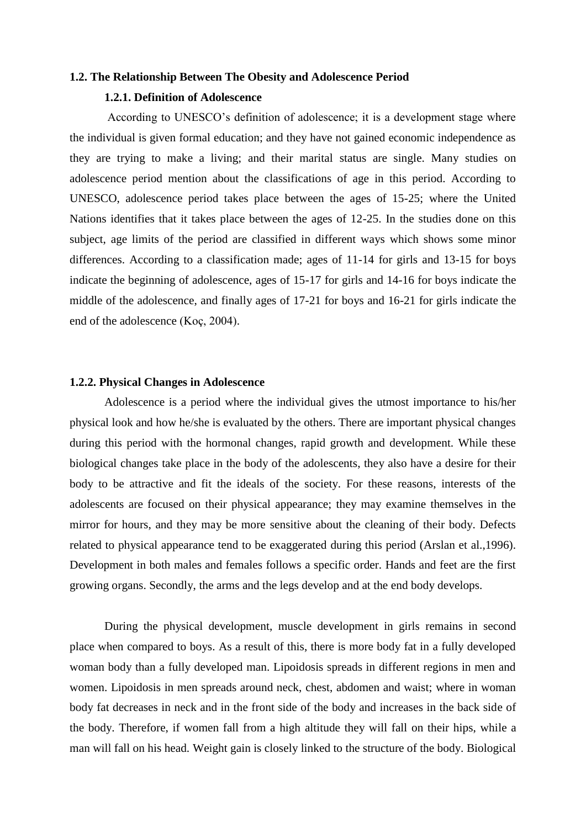#### **1.2. The Relationship Between The Obesity and Adolescence Period**

#### **1.2.1. Definition of Adolescence**

According to UNESCO's definition of adolescence; it is a development stage where the individual is given formal education; and they have not gained economic independence as they are trying to make a living; and their marital status are single. Many studies on adolescence period mention about the classifications of age in this period. According to UNESCO, adolescence period takes place between the ages of 15-25; where the United Nations identifies that it takes place between the ages of 12-25. In the studies done on this subject, age limits of the period are classified in different ways which shows some minor differences. According to a classification made; ages of 11-14 for girls and 13-15 for boys indicate the beginning of adolescence, ages of 15-17 for girls and 14-16 for boys indicate the middle of the adolescence, and finally ages of 17-21 for boys and 16-21 for girls indicate the end of the adolescence (Koç, 2004).

#### **1.2.2. Physical Changes in Adolescence**

Adolescence is a period where the individual gives the utmost importance to his/her physical look and how he/she is evaluated by the others. There are important physical changes during this period with the hormonal changes, rapid growth and development. While these biological changes take place in the body of the adolescents, they also have a desire for their body to be attractive and fit the ideals of the society. For these reasons, interests of the adolescents are focused on their physical appearance; they may examine themselves in the mirror for hours, and they may be more sensitive about the cleaning of their body. Defects related to physical appearance tend to be exaggerated during this period (Arslan et al.,1996). Development in both males and females follows a specific order. Hands and feet are the first growing organs. Secondly, the arms and the legs develop and at the end body develops.

During the physical development, muscle development in girls remains in second place when compared to boys. As a result of this, there is more body fat in a fully developed woman body than a fully developed man. Lipoidosis spreads in different regions in men and women. Lipoidosis in men spreads around neck, chest, abdomen and waist; where in woman body fat decreases in neck and in the front side of the body and increases in the back side of the body. Therefore, if women fall from a high altitude they will fall on their hips, while a man will fall on his head. Weight gain is closely linked to the structure of the body. Biological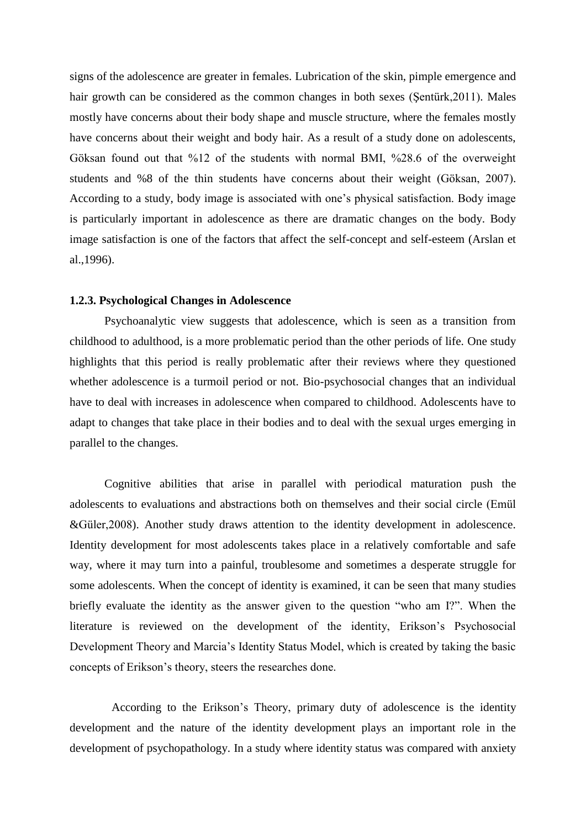signs of the adolescence are greater in females. Lubrication of the skin, pimple emergence and hair growth can be considered as the common changes in both sexes (Sentürk, 2011). Males mostly have concerns about their body shape and muscle structure, where the females mostly have concerns about their weight and body hair. As a result of a study done on adolescents, Göksan found out that %12 of the students with normal BMI, %28.6 of the overweight students and %8 of the thin students have concerns about their weight (Göksan, 2007). According to a study, body image is associated with one's physical satisfaction. Body image is particularly important in adolescence as there are dramatic changes on the body. Body image satisfaction is one of the factors that affect the self-concept and self-esteem (Arslan et al.,1996).

#### **1.2.3. Psychological Changes in Adolescence**

Psychoanalytic view suggests that adolescence, which is seen as a transition from childhood to adulthood, is a more problematic period than the other periods of life. One study highlights that this period is really problematic after their reviews where they questioned whether adolescence is a turmoil period or not. Bio-psychosocial changes that an individual have to deal with increases in adolescence when compared to childhood. Adolescents have to adapt to changes that take place in their bodies and to deal with the sexual urges emerging in parallel to the changes.

Cognitive abilities that arise in parallel with periodical maturation push the adolescents to evaluations and abstractions both on themselves and their social circle (Emül &Güler,2008). Another study draws attention to the identity development in adolescence. Identity development for most adolescents takes place in a relatively comfortable and safe way, where it may turn into a painful, troublesome and sometimes a desperate struggle for some adolescents. When the concept of identity is examined, it can be seen that many studies briefly evaluate the identity as the answer given to the question "who am I?". When the literature is reviewed on the development of the identity, Erikson's Psychosocial Development Theory and Marcia's Identity Status Model, which is created by taking the basic concepts of Erikson's theory, steers the researches done.

According to the Erikson's Theory, primary duty of adolescence is the identity development and the nature of the identity development plays an important role in the development of psychopathology. In a study where identity status was compared with anxiety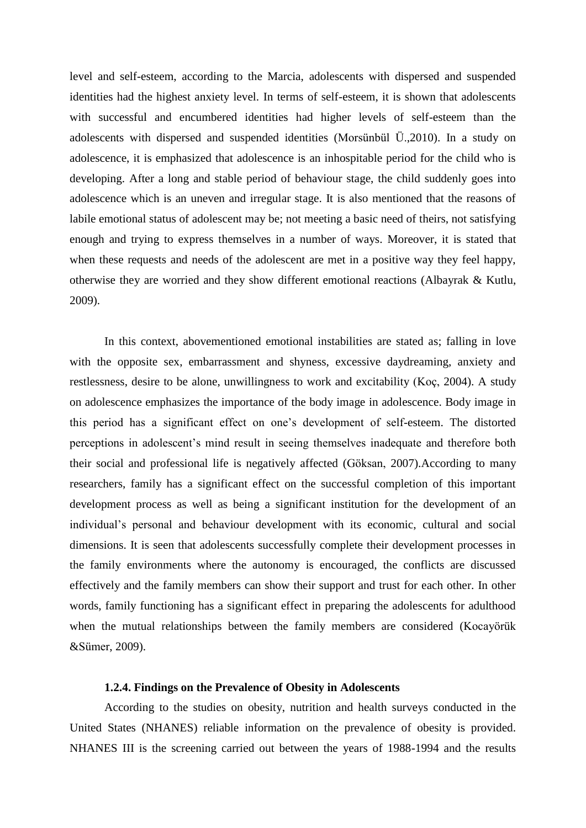level and self-esteem, according to the Marcia, adolescents with dispersed and suspended identities had the highest anxiety level. In terms of self-esteem, it is shown that adolescents with successful and encumbered identities had higher levels of self-esteem than the adolescents with dispersed and suspended identities (Morsünbül Ü.,2010). In a study on adolescence, it is emphasized that adolescence is an inhospitable period for the child who is developing. After a long and stable period of behaviour stage, the child suddenly goes into adolescence which is an uneven and irregular stage. It is also mentioned that the reasons of labile emotional status of adolescent may be; not meeting a basic need of theirs, not satisfying enough and trying to express themselves in a number of ways. Moreover, it is stated that when these requests and needs of the adolescent are met in a positive way they feel happy, otherwise they are worried and they show different emotional reactions (Albayrak & Kutlu, 2009).

In this context, abovementioned emotional instabilities are stated as; falling in love with the opposite sex, embarrassment and shyness, excessive daydreaming, anxiety and restlessness, desire to be alone, unwillingness to work and excitability (Koç, 2004). A study on adolescence emphasizes the importance of the body image in adolescence. Body image in this period has a significant effect on one's development of self-esteem. The distorted perceptions in adolescent's mind result in seeing themselves inadequate and therefore both their social and professional life is negatively affected (Göksan, 2007).According to many researchers, family has a significant effect on the successful completion of this important development process as well as being a significant institution for the development of an individual's personal and behaviour development with its economic, cultural and social dimensions. It is seen that adolescents successfully complete their development processes in the family environments where the autonomy is encouraged, the conflicts are discussed effectively and the family members can show their support and trust for each other. In other words, family functioning has a significant effect in preparing the adolescents for adulthood when the mutual relationships between the family members are considered (Kocayörük &Sümer, 2009).

#### **1.2.4. Findings on the Prevalence of Obesity in Adolescents**

According to the studies on obesity, nutrition and health surveys conducted in the United States (NHANES) reliable information on the prevalence of obesity is provided. NHANES III is the screening carried out between the years of 1988-1994 and the results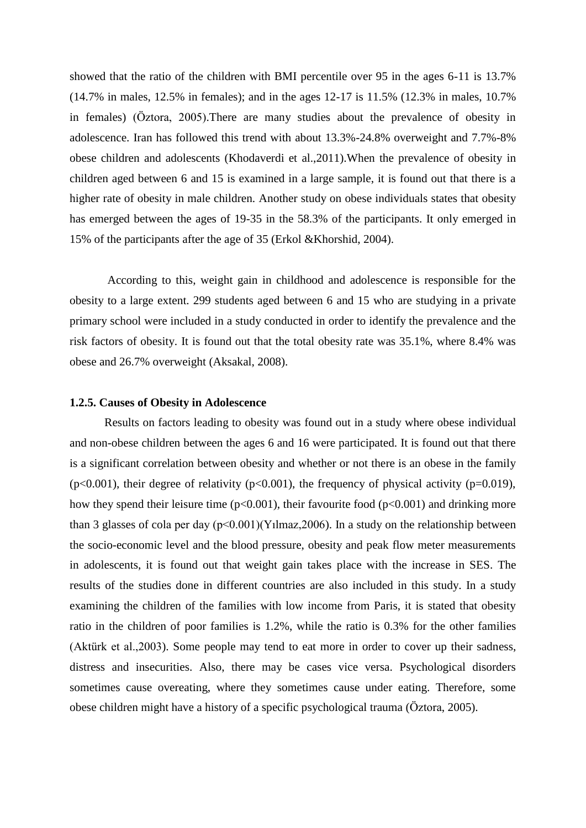showed that the ratio of the children with BMI percentile over 95 in the ages 6-11 is 13.7% (14.7% in males, 12.5% in females); and in the ages 12-17 is 11.5% (12.3% in males, 10.7% in females) (Öztora, 2005).There are many studies about the prevalence of obesity in adolescence. Iran has followed this trend with about 13.3%-24.8% overweight and 7.7%-8% obese children and adolescents (Khodaverdi et al.,2011).When the prevalence of obesity in children aged between 6 and 15 is examined in a large sample, it is found out that there is a higher rate of obesity in male children. Another study on obese individuals states that obesity has emerged between the ages of 19-35 in the 58.3% of the participants. It only emerged in 15% of the participants after the age of 35 (Erkol &Khorshid, 2004).

According to this, weight gain in childhood and adolescence is responsible for the obesity to a large extent. 299 students aged between 6 and 15 who are studying in a private primary school were included in a study conducted in order to identify the prevalence and the risk factors of obesity. It is found out that the total obesity rate was 35.1%, where 8.4% was obese and 26.7% overweight (Aksakal, 2008).

#### **1.2.5. Causes of Obesity in Adolescence**

Results on factors leading to obesity was found out in a study where obese individual and non-obese children between the ages 6 and 16 were participated. It is found out that there is a significant correlation between obesity and whether or not there is an obese in the family ( $p<0.001$ ), their degree of relativity ( $p<0.001$ ), the frequency of physical activity ( $p=0.019$ ), how they spend their leisure time ( $p<0.001$ ), their favourite food ( $p<0.001$ ) and drinking more than 3 glasses of cola per day  $(p<0.001)$ (Yilmaz, 2006). In a study on the relationship between the socio-economic level and the blood pressure, obesity and peak flow meter measurements in adolescents, it is found out that weight gain takes place with the increase in SES. The results of the studies done in different countries are also included in this study. In a study examining the children of the families with low income from Paris, it is stated that obesity ratio in the children of poor families is 1.2%, while the ratio is 0.3% for the other families (Aktürk et al.,2003). Some people may tend to eat more in order to cover up their sadness, distress and insecurities. Also, there may be cases vice versa. Psychological disorders sometimes cause overeating, where they sometimes cause under eating. Therefore, some obese children might have a history of a specific psychological trauma (Öztora, 2005).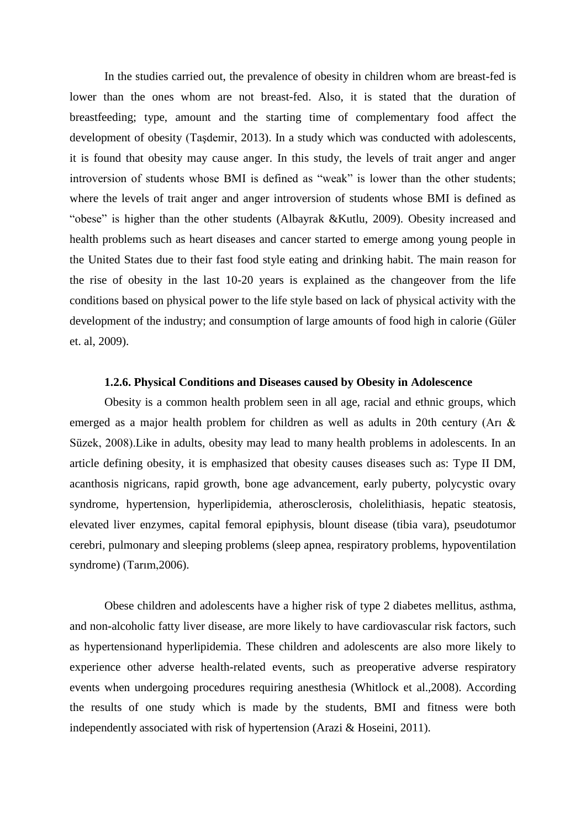In the studies carried out, the prevalence of obesity in children whom are breast-fed is lower than the ones whom are not breast-fed. Also, it is stated that the duration of breastfeeding; type, amount and the starting time of complementary food affect the development of obesity (Taşdemir, 2013). In a study which was conducted with adolescents, it is found that obesity may cause anger. In this study, the levels of trait anger and anger introversion of students whose BMI is defined as "weak" is lower than the other students; where the levels of trait anger and anger introversion of students whose BMI is defined as "obese" is higher than the other students (Albayrak &Kutlu, 2009). Obesity increased and health problems such as heart diseases and cancer started to emerge among young people in the United States due to their fast food style eating and drinking habit. The main reason for the rise of obesity in the last 10-20 years is explained as the changeover from the life conditions based on physical power to the life style based on lack of physical activity with the development of the industry; and consumption of large amounts of food high in calorie (Güler et. al, 2009).

#### **1.2.6. Physical Conditions and Diseases caused by Obesity in Adolescence**

Obesity is a common health problem seen in all age, racial and ethnic groups, which emerged as a major health problem for children as well as adults in 20th century (Arı & Süzek, 2008).Like in adults, obesity may lead to many health problems in adolescents. In an article defining obesity, it is emphasized that obesity causes diseases such as: Type II DM, acanthosis nigricans, rapid growth, bone age advancement, early puberty, polycystic ovary syndrome, hypertension, hyperlipidemia, atherosclerosis, cholelithiasis, hepatic steatosis, elevated liver enzymes, capital femoral epiphysis, blount disease (tibia vara), pseudotumor cerebri, pulmonary and sleeping problems (sleep apnea, respiratory problems, hypoventilation syndrome) (Tarım,2006).

Obese children and adolescents have a higher risk of type 2 diabetes mellitus, asthma, and non-alcoholic fatty liver disease, are more likely to have cardiovascular risk factors, such as hypertensionand hyperlipidemia. These children and adolescents are also more likely to experience other adverse health-related events, such as preoperative adverse respiratory events when undergoing procedures requiring anesthesia (Whitlock et al.,2008). According the results of one study which is made by the students, BMI and fitness were both independently associated with risk of hypertension (Arazi & Hoseini, 2011).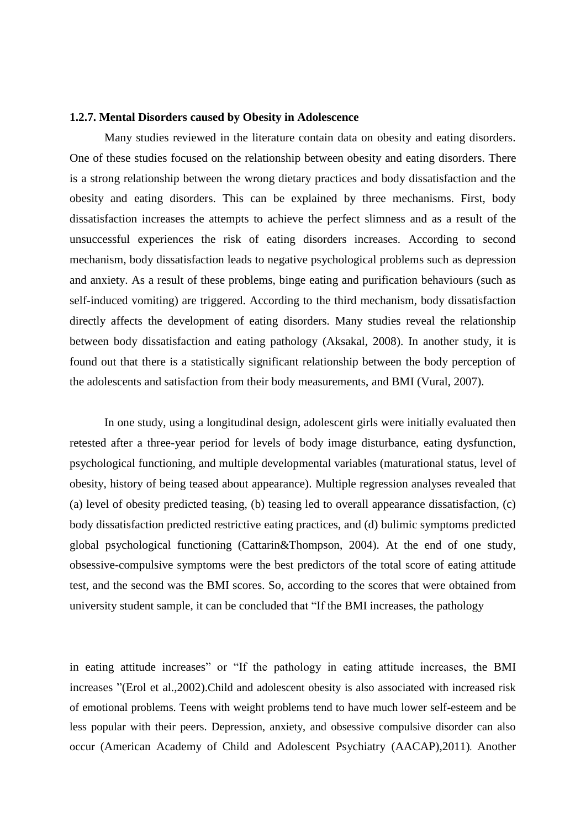#### **1.2.7. Mental Disorders caused by Obesity in Adolescence**

Many studies reviewed in the literature contain data on obesity and eating disorders. One of these studies focused on the relationship between obesity and eating disorders. There is a strong relationship between the wrong dietary practices and body dissatisfaction and the obesity and eating disorders. This can be explained by three mechanisms. First, body dissatisfaction increases the attempts to achieve the perfect slimness and as a result of the unsuccessful experiences the risk of eating disorders increases. According to second mechanism, body dissatisfaction leads to negative psychological problems such as depression and anxiety. As a result of these problems, binge eating and purification behaviours (such as self-induced vomiting) are triggered. According to the third mechanism, body dissatisfaction directly affects the development of eating disorders. Many studies reveal the relationship between body dissatisfaction and eating pathology (Aksakal, 2008). In another study, it is found out that there is a statistically significant relationship between the body perception of the adolescents and satisfaction from their body measurements, and BMI (Vural, 2007).

In one study, using a longitudinal design, adolescent girls were initially evaluated then retested after a three-year period for levels of body image disturbance, eating dysfunction, psychological functioning, and multiple developmental variables (maturational status, level of obesity, history of being teased about appearance). Multiple regression analyses revealed that (a) level of obesity predicted teasing, (b) teasing led to overall appearance dissatisfaction, (c) body dissatisfaction predicted restrictive eating practices, and (d) bulimic symptoms predicted global psychological functioning (Cattarin&Thompson, 2004). At the end of one study, obsessive-compulsive symptoms were the best predictors of the total score of eating attitude test, and the second was the BMI scores. So, according to the scores that were obtained from university student sample, it can be concluded that "If the BMI increases, the pathology

in eating attitude increases" or "If the pathology in eating attitude increases, the BMI increases "(Erol et al., 2002). Child and adolescent obesity is also associated with increased risk of emotional problems. Teens with weight problems tend to have much lower self-esteem and be less popular with their peers. Depression, anxiety, and obsessive compulsive disorder can also occur (American Academy of Child and Adolescent Psychiatry (AACAP),2011)*.* Another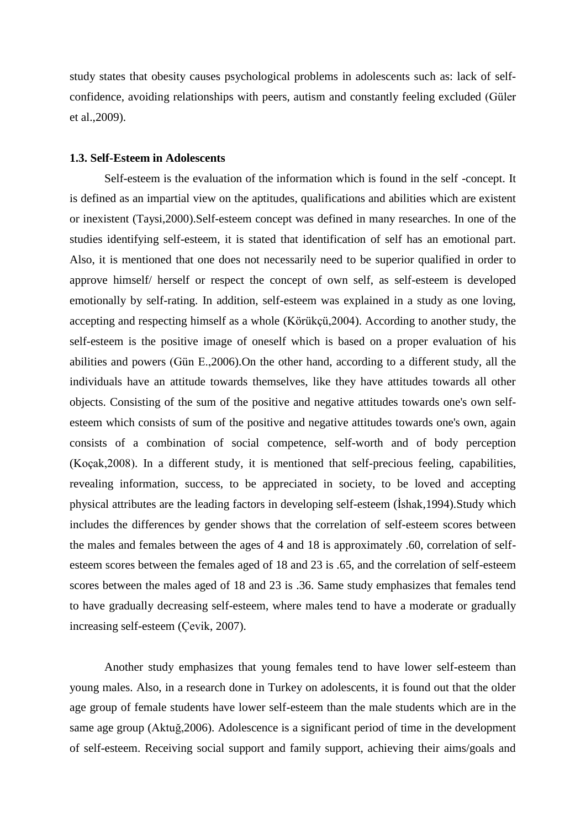study states that obesity causes psychological problems in adolescents such as: lack of selfconfidence, avoiding relationships with peers, autism and constantly feeling excluded (Güler et al.,2009).

#### **1.3. Self-Esteem in Adolescents**

Self-esteem is the evaluation of the information which is found in the self -concept. It is defined as an impartial view on the aptitudes, qualifications and abilities which are existent or inexistent (Taysi,2000).Self-esteem concept was defined in many researches. In one of the studies identifying self-esteem, it is stated that identification of self has an emotional part. Also, it is mentioned that one does not necessarily need to be superior qualified in order to approve himself/ herself or respect the concept of own self, as self-esteem is developed emotionally by self-rating. In addition, self-esteem was explained in a study as one loving, accepting and respecting himself as a whole (Körükçü,2004). According to another study, the self-esteem is the positive image of oneself which is based on a proper evaluation of his abilities and powers (Gün E.,2006).On the other hand, according to a different study, all the individuals have an attitude towards themselves, like they have attitudes towards all other objects. Consisting of the sum of the positive and negative attitudes towards one's own selfesteem which consists of sum of the positive and negative attitudes towards one's own, again consists of a combination of social competence, self-worth and of body perception (Koçak,2008). In a different study, it is mentioned that self-precious feeling, capabilities, revealing information, success, to be appreciated in society, to be loved and accepting physical attributes are the leading factors in developing self-esteem (Ishak, 1994). Study which includes the differences by gender shows that the correlation of self-esteem scores between the males and females between the ages of 4 and 18 is approximately .60, correlation of selfesteem scores between the females aged of 18 and 23 is .65, and the correlation of self-esteem scores between the males aged of 18 and 23 is .36. Same study emphasizes that females tend to have gradually decreasing self-esteem, where males tend to have a moderate or gradually increasing self-esteem (Çevik, 2007).

Another study emphasizes that young females tend to have lower self-esteem than young males. Also, in a research done in Turkey on adolescents, it is found out that the older age group of female students have lower self-esteem than the male students which are in the same age group (Aktuğ,2006). Adolescence is a significant period of time in the development of self-esteem. Receiving social support and family support, achieving their aims/goals and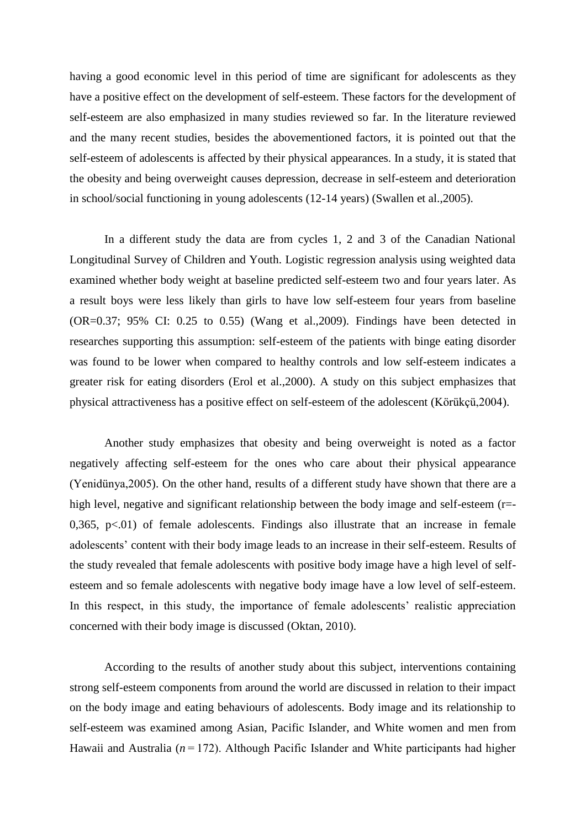having a good economic level in this period of time are significant for adolescents as they have a positive effect on the development of self-esteem. These factors for the development of self-esteem are also emphasized in many studies reviewed so far. In the literature reviewed and the many recent studies, besides the abovementioned factors, it is pointed out that the self-esteem of adolescents is affected by their physical appearances. In a study, it is stated that the obesity and being overweight causes depression, decrease in self-esteem and deterioration in school/social functioning in young adolescents (12-14 years) (Swallen et al.,2005).

In a different study the data are from cycles 1, 2 and 3 of the Canadian National Longitudinal Survey of Children and Youth. Logistic regression analysis using weighted data examined whether body weight at baseline predicted self-esteem two and four years later. As a result boys were less likely than girls to have low self-esteem four years from baseline (OR=0.37; 95% CI: 0.25 to 0.55) (Wang et al.,2009). Findings have been detected in researches supporting this assumption: self-esteem of the patients with binge eating disorder was found to be lower when compared to healthy controls and low self-esteem indicates a greater risk for eating disorders (Erol et al.,2000). A study on this subject emphasizes that physical attractiveness has a positive effect on self-esteem of the adolescent (Körükçü,2004).

Another study emphasizes that obesity and being overweight is noted as a factor negatively affecting self-esteem for the ones who care about their physical appearance (Yenidünya,2005). On the other hand, results of a different study have shown that there are a high level, negative and significant relationship between the body image and self-esteem (r=-0,365,  $p<0$ 1) of female adolescents. Findings also illustrate that an increase in female adolescents' content with their body image leads to an increase in their self-esteem. Results of the study revealed that female adolescents with positive body image have a high level of selfesteem and so female adolescents with negative body image have a low level of self-esteem. In this respect, in this study, the importance of female adolescents' realistic appreciation concerned with their body image is discussed (Oktan, 2010).

According to the results of another study about this subject, interventions containing strong self-esteem components from around the world are discussed in relation to their impact on the body image and eating behaviours of adolescents. Body image and its relationship to self-esteem was examined among Asian, Pacific Islander, and White women and men from Hawaii and Australia ( $n = 172$ ). Although Pacific Islander and White participants had higher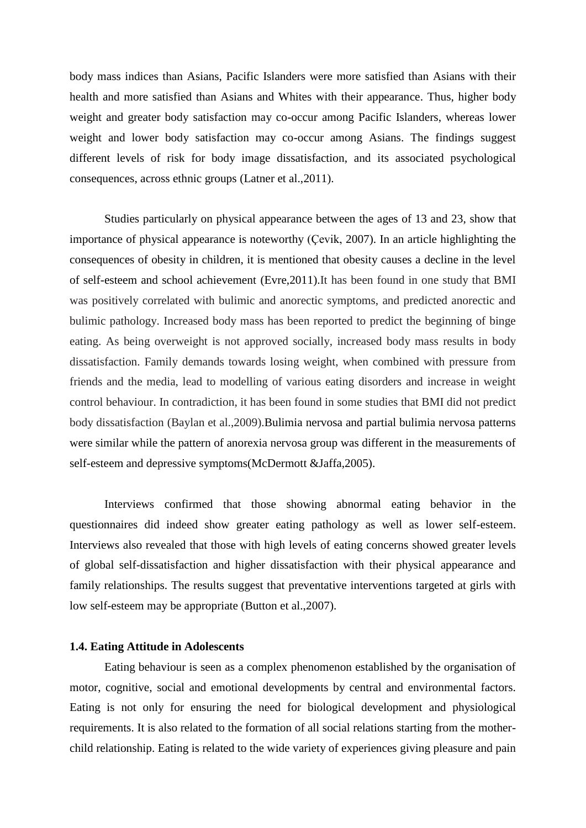body mass indices than Asians, Pacific Islanders were more satisfied than Asians with their health and more satisfied than Asians and Whites with their appearance. Thus, higher body weight and greater body satisfaction may co-occur among Pacific Islanders, whereas lower weight and lower body satisfaction may co-occur among Asians. The findings suggest different levels of risk for body image dissatisfaction, and its associated psychological consequences, across ethnic groups (Latner et al.,2011).

Studies particularly on physical appearance between the ages of 13 and 23, show that importance of physical appearance is noteworthy (Çevik, 2007). In an article highlighting the consequences of obesity in children, it is mentioned that obesity causes a decline in the level of self-esteem and school achievement (Evre,2011).It has been found in one study that BMI was positively correlated with bulimic and anorectic symptoms, and predicted anorectic and bulimic pathology. Increased body mass has been reported to predict the beginning of binge eating. As being overweight is not approved socially, increased body mass results in body dissatisfaction. Family demands towards losing weight, when combined with pressure from friends and the media, lead to modelling of various eating disorders and increase in weight control behaviour. In contradiction, it has been found in some studies that BMI did not predict body dissatisfaction (Baylan et al.,2009).Bulimia nervosa and partial bulimia nervosa patterns were similar while the pattern of anorexia nervosa group was different in the measurements of self-esteem and depressive symptoms(McDermott &Jaffa,2005).

Interviews confirmed that those showing abnormal eating behavior in the questionnaires did indeed show greater eating pathology as well as lower self-esteem. Interviews also revealed that those with high levels of eating concerns showed greater levels of global self-dissatisfaction and higher dissatisfaction with their physical appearance and family relationships. The results suggest that preventative interventions targeted at girls with low self-esteem may be appropriate (Button et al.,2007).

#### **1.4. Eating Attitude in Adolescents**

Eating behaviour is seen as a complex phenomenon established by the organisation of motor, cognitive, social and emotional developments by central and environmental factors. Eating is not only for ensuring the need for biological development and physiological requirements. It is also related to the formation of all social relations starting from the motherchild relationship. Eating is related to the wide variety of experiences giving pleasure and pain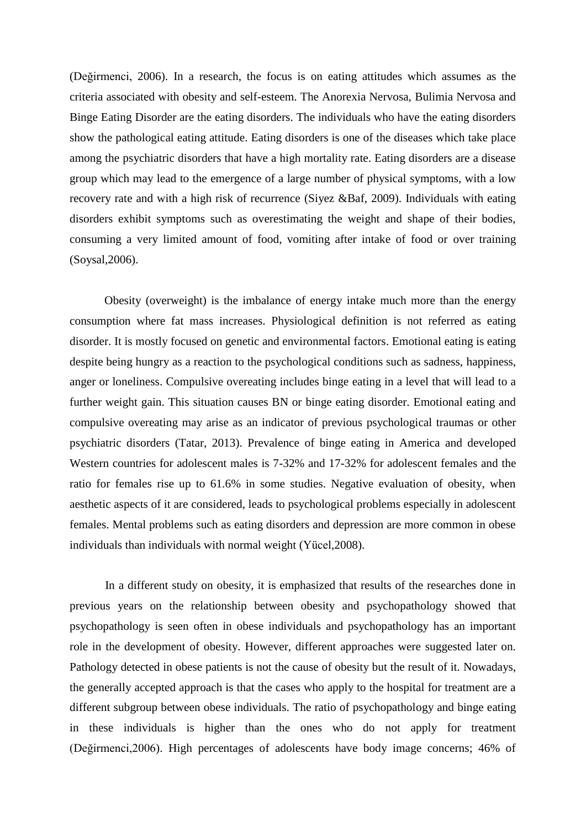(Değirmenci, 2006). In a research, the focus is on eating attitudes which assumes as the criteria associated with obesity and self-esteem. The Anorexia Nervosa, Bulimia Nervosa and Binge Eating Disorder are the eating disorders. The individuals who have the eating disorders show the pathological eating attitude. Eating disorders is one of the diseases which take place among the psychiatric disorders that have a high mortality rate. Eating disorders are a disease group which may lead to the emergence of a large number of physical symptoms, with a low recovery rate and with a high risk of recurrence (Siyez &Baf, 2009). Individuals with eating disorders exhibit symptoms such as overestimating the weight and shape of their bodies, consuming a very limited amount of food, vomiting after intake of food or over training (Soysal,2006).

Obesity (overweight) is the imbalance of energy intake much more than the energy consumption where fat mass increases. Physiological definition is not referred as eating disorder. It is mostly focused on genetic and environmental factors. Emotional eating is eating despite being hungry as a reaction to the psychological conditions such as sadness, happiness, anger or loneliness. Compulsive overeating includes binge eating in a level that will lead to a further weight gain. This situation causes BN or binge eating disorder. Emotional eating and compulsive overeating may arise as an indicator of previous psychological traumas or other psychiatric disorders (Tatar, 2013). Prevalence of binge eating in America and developed Western countries for adolescent males is 7-32% and 17-32% for adolescent females and the ratio for females rise up to 61.6% in some studies. Negative evaluation of obesity, when aesthetic aspects of it are considered, leads to psychological problems especially in adolescent females. Mental problems such as eating disorders and depression are more common in obese individuals than individuals with normal weight (Yücel,2008).

In a different study on obesity, it is emphasized that results of the researches done in previous years on the relationship between obesity and psychopathology showed that psychopathology is seen often in obese individuals and psychopathology has an important role in the development of obesity. However, different approaches were suggested later on. Pathology detected in obese patients is not the cause of obesity but the result of it. Nowadays, the generally accepted approach is that the cases who apply to the hospital for treatment are a different subgroup between obese individuals. The ratio of psychopathology and binge eating in these individuals is higher than the ones who do not apply for treatment (Değirmenci,2006). High percentages of adolescents have body image concerns; 46% of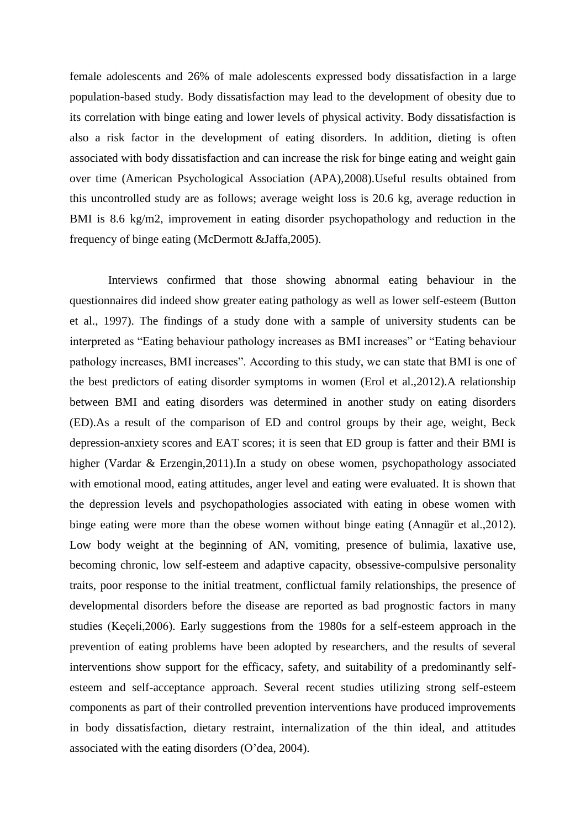female adolescents and 26% of male adolescents expressed body dissatisfaction in a large population-based study. Body dissatisfaction may lead to the development of obesity due to its correlation with binge eating and lower levels of physical activity. Body dissatisfaction is also a risk factor in the development of eating disorders. In addition, dieting is often associated with body dissatisfaction and can increase the risk for binge eating and weight gain over time (American Psychological Association (APA),2008).Useful results obtained from this uncontrolled study are as follows; average weight loss is 20.6 kg, average reduction in BMI is 8.6 kg/m2, improvement in eating disorder psychopathology and reduction in the frequency of binge eating (McDermott &Jaffa,2005).

Interviews confirmed that those showing abnormal eating behaviour in the questionnaires did indeed show greater eating pathology as well as lower self-esteem (Button et al., 1997). The findings of a study done with a sample of university students can be interpreted as "Eating behaviour pathology increases as BMI increases" or "Eating behaviour pathology increases, BMI increases". According to this study, we can state that BMI is one of the best predictors of eating disorder symptoms in women (Erol et al.,2012).A relationship between BMI and eating disorders was determined in another study on eating disorders (ED).As a result of the comparison of ED and control groups by their age, weight, Beck depression-anxiety scores and EAT scores; it is seen that ED group is fatter and their BMI is higher (Vardar & Erzengin, 2011). In a study on obese women, psychopathology associated with emotional mood, eating attitudes, anger level and eating were evaluated. It is shown that the depression levels and psychopathologies associated with eating in obese women with binge eating were more than the obese women without binge eating (Annagür et al.,2012). Low body weight at the beginning of AN, vomiting, presence of bulimia, laxative use, becoming chronic, low self-esteem and adaptive capacity, obsessive-compulsive personality traits, poor response to the initial treatment, conflictual family relationships, the presence of developmental disorders before the disease are reported as bad prognostic factors in many studies (Keçeli,2006). Early suggestions from the 1980s for a self-esteem approach in the prevention of eating problems have been adopted by researchers, and the results of several interventions show support for the efficacy, safety, and suitability of a predominantly selfesteem and self-acceptance approach. Several recent studies utilizing strong self-esteem components as part of their controlled prevention interventions have produced improvements in body dissatisfaction, dietary restraint, internalization of the thin ideal, and attitudes associated with the eating disorders (O'dea, 2004).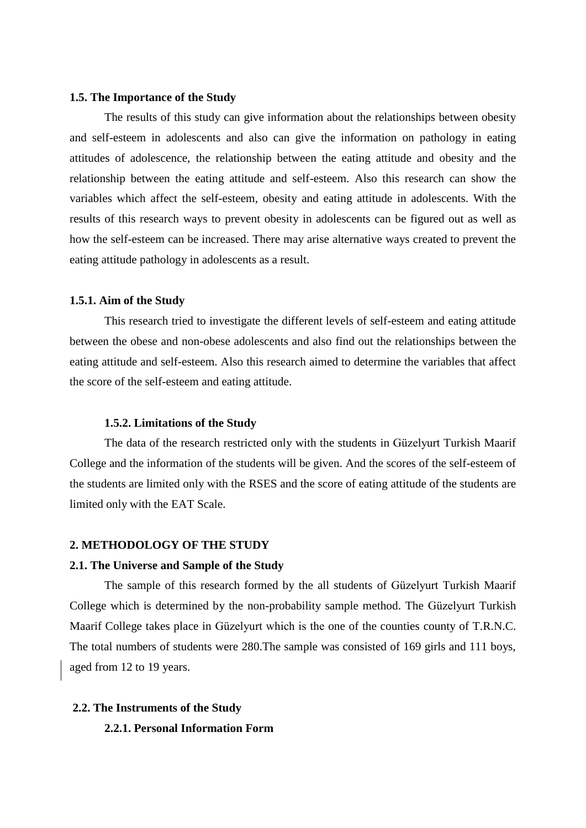#### **1.5. The Importance of the Study**

The results of this study can give information about the relationships between obesity and self-esteem in adolescents and also can give the information on pathology in eating attitudes of adolescence, the relationship between the eating attitude and obesity and the relationship between the eating attitude and self-esteem. Also this research can show the variables which affect the self-esteem, obesity and eating attitude in adolescents. With the results of this research ways to prevent obesity in adolescents can be figured out as well as how the self-esteem can be increased. There may arise alternative ways created to prevent the eating attitude pathology in adolescents as a result.

#### **1.5.1. Aim of the Study**

This research tried to investigate the different levels of self-esteem and eating attitude between the obese and non-obese adolescents and also find out the relationships between the eating attitude and self-esteem. Also this research aimed to determine the variables that affect the score of the self-esteem and eating attitude.

#### **1.5.2. Limitations of the Study**

The data of the research restricted only with the students in Güzelyurt Turkish Maarif College and the information of the students will be given. And the scores of the self-esteem of the students are limited only with the RSES and the score of eating attitude of the students are limited only with the EAT Scale.

#### **2. METHODOLOGY OF THE STUDY**

#### **2.1. The Universe and Sample of the Study**

The sample of this research formed by the all students of Güzelyurt Turkish Maarif College which is determined by the non-probability sample method. The Güzelyurt Turkish Maarif College takes place in Güzelyurt which is the one of the counties county of T.R.N.C. The total numbers of students were 280.The sample was consisted of 169 girls and 111 boys, aged from 12 to 19 years.

#### **2.2. The Instruments of the Study**

#### **2.2.1. Personal Information Form**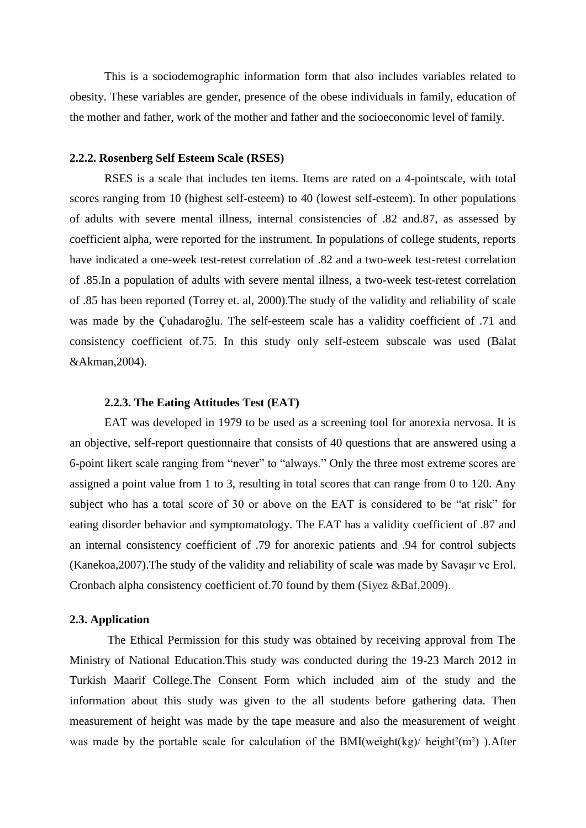This is a sociodemographic information form that also includes variables related to obesity. These variables are gender, presence of the obese individuals in family, education of the mother and father, work of the mother and father and the socioeconomic level of family.

#### **2.2.2. Rosenberg Self Esteem Scale (RSES)**

RSES is a scale that includes ten items. Items are rated on a 4-pointscale, with total scores ranging from 10 (highest self-esteem) to 40 (lowest self-esteem). In other populations of adults with severe mental illness, internal consistencies of .82 and.87, as assessed by coefficient alpha, were reported for the instrument. In populations of college students, reports have indicated a one-week test-retest correlation of .82 and a two-week test-retest correlation of .85.In a population of adults with severe mental illness, a two-week test-retest correlation of .85 has been reported (Torrey et. al, 2000).The study of the validity and reliability of scale was made by the Çuhadaroğlu. The self-esteem scale has a validity coefficient of .71 and consistency coefficient of.75. In this study only self-esteem subscale was used (Balat &Akman,2004).

#### **2.2.3. The Eating Attitudes Test (EAT)**

EAT was developed in 1979 to be used as a screening tool for anorexia nervosa. It is an objective, self-report questionnaire that consists of 40 questions that are answered using a 6-point likert scale ranging from "never" to "always." Only the three most extreme scores are assigned a point value from 1 to 3, resulting in total scores that can range from 0 to 120. Any subject who has a total score of 30 or above on the EAT is considered to be "at risk" for eating disorder behavior and symptomatology. The EAT has a validity coefficient of .87 and an internal consistency coefficient of .79 for anorexic patients and .94 for control subjects (Kanekoa, 2007). The study of the validity and reliability of scale was made by Savasir ve Erol. Cronbach alpha consistency coefficient of.70 found by them (Siyez &Baf,2009).

#### **2.3. Application**

The Ethical Permission for this study was obtained by receiving approval from The Ministry of National Education.This study was conducted during the 19-23 March 2012 in Turkish Maarif College.The Consent Form which included aim of the study and the information about this study was given to the all students before gathering data. Then measurement of height was made by the tape measure and also the measurement of weight was made by the portable scale for calculation of the  $BMI(weight(kg)/height<sup>2</sup>(m<sup>2</sup>))$ . After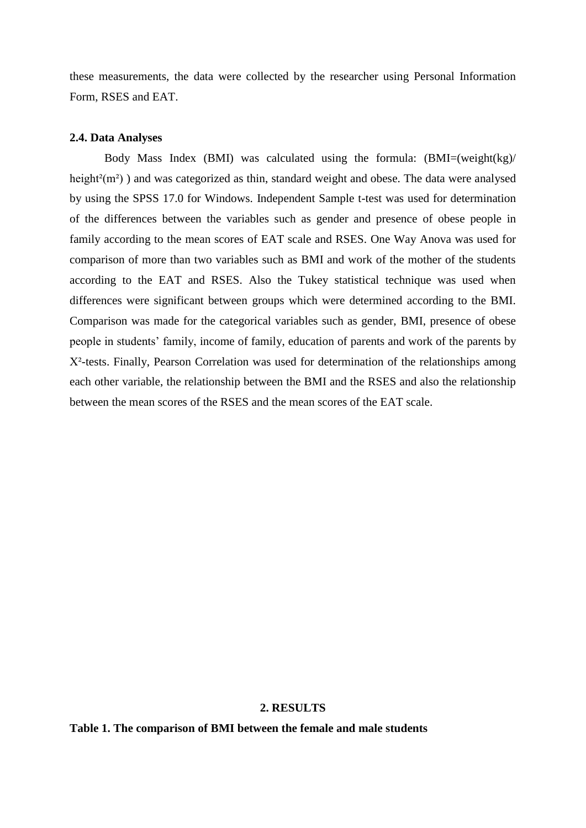these measurements, the data were collected by the researcher using Personal Information Form, RSES and EAT.

#### **2.4. Data Analyses**

Body Mass Index (BMI) was calculated using the formula: (BMI=(weight(kg)/ height $(2(m<sup>2</sup>))$  and was categorized as thin, standard weight and obese. The data were analysed by using the SPSS 17.0 for Windows. Independent Sample t-test was used for determination of the differences between the variables such as gender and presence of obese people in family according to the mean scores of EAT scale and RSES. One Way Anova was used for comparison of more than two variables such as BMI and work of the mother of the students according to the EAT and RSES. Also the Tukey statistical technique was used when differences were significant between groups which were determined according to the BMI. Comparison was made for the categorical variables such as gender, BMI, presence of obese people in students' family, income of family, education of parents and work of the parents by X²-tests. Finally, Pearson Correlation was used for determination of the relationships among each other variable, the relationship between the BMI and the RSES and also the relationship between the mean scores of the RSES and the mean scores of the EAT scale.

#### **2. RESULTS**

**Table 1. The comparison of BMI between the female and male students**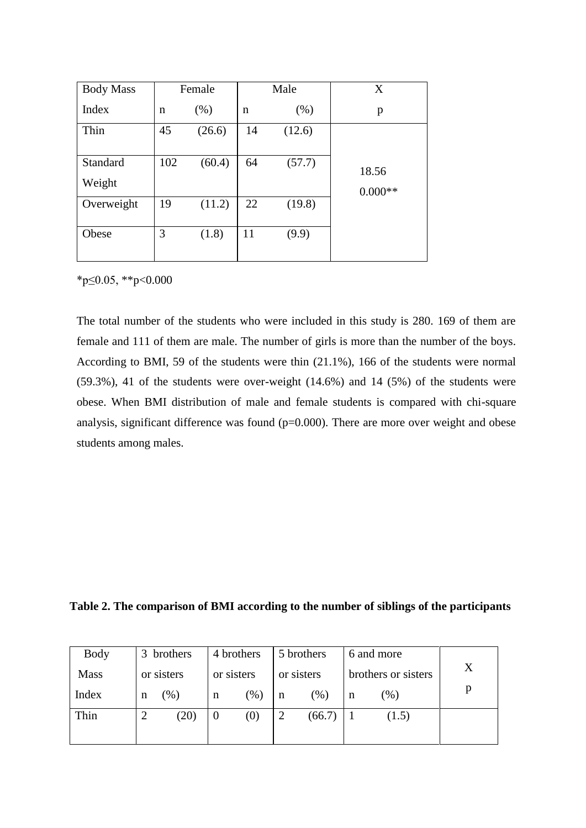| <b>Body Mass</b>   | Female |        |    | Male   | X                  |
|--------------------|--------|--------|----|--------|--------------------|
| Index              | n      | (% )   | n  | (% )   | p                  |
| Thin               | 45     | (26.6) | 14 | (12.6) |                    |
| Standard<br>Weight | 102    | (60.4) | 64 | (57.7) | 18.56<br>$0.000**$ |
| Overweight         | 19     | (11.2) | 22 | (19.8) |                    |
| Obese              | 3      | (1.8)  | 11 | (9.9)  |                    |

\*p≤0.05, \*\*p<0.000

The total number of the students who were included in this study is 280. 169 of them are female and 111 of them are male. The number of girls is more than the number of the boys. According to BMI, 59 of the students were thin (21.1%), 166 of the students were normal (59.3%), 41 of the students were over-weight (14.6%) and 14 (5%) of the students were obese. When BMI distribution of male and female students is compared with chi-square analysis, significant difference was found (p=0.000). There are more over weight and obese students among males.

**Table 2. The comparison of BMI according to the number of siblings of the participants**

| <b>Body</b> | 3 brothers | 4 brothers      | 5 brothers  | 6 and more          |   |
|-------------|------------|-----------------|-------------|---------------------|---|
| <b>Mass</b> | or sisters | or sisters      | or sisters  | brothers or sisters | X |
| Index       | (%)<br>n   | $(\%)$<br>n     | $(\%)$<br>n | $(\% )$<br>n        |   |
| Thin        | (20)       | (0)<br>$\theta$ | (66.7)      | (1.5)               |   |
|             |            |                 |             |                     |   |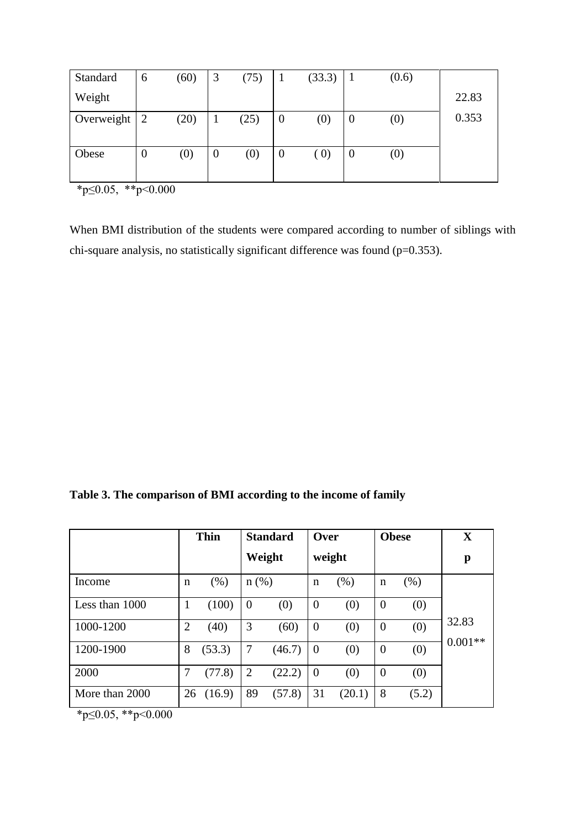| Standard   | 6        | (60) | 3              | (75) |                  | (33.3)            |          | (0.6)             |       |
|------------|----------|------|----------------|------|------------------|-------------------|----------|-------------------|-------|
| Weight     |          |      |                |      |                  |                   |          |                   | 22.83 |
| Overweight | 2        | (20) |                | (25) | $\boldsymbol{0}$ | $\left( 0\right)$ | $\theta$ | $\left( 0\right)$ | 0.353 |
|            |          |      |                |      |                  |                   |          |                   |       |
| Obese      | $\theta$ | (0)  | $\overline{0}$ | (0)  | $\theta$         | (0)               | $\theta$ | $\left( 0\right)$ |       |
|            |          |      |                |      |                  |                   |          |                   |       |

 $*p \leq 0.05$ ,  $*p < 0.000$ 

When BMI distribution of the students were compared according to number of siblings with chi-square analysis, no statistically significant difference was found (p=0.353).

**Table 3. The comparison of BMI according to the income of family**

|                |                | <b>Thin</b> | <b>Standard</b> |        | Over     |        | <b>Obese</b> |       | X         |
|----------------|----------------|-------------|-----------------|--------|----------|--------|--------------|-------|-----------|
|                |                |             | Weight          |        |          | weight |              |       | p         |
| Income         | $\mathbf n$    | (% )        | $n$ (%)         |        | n        | $(\%)$ | n            | (% )  |           |
| Less than 1000 | 1              | (100)       | $\theta$        | (0)    | $\theta$ | (0)    | $\theta$     | (0)   |           |
| 1000-1200      | $\overline{2}$ | (40)        | 3               | (60)   | $\theta$ | (0)    | $\theta$     | (0)   | 32.83     |
| 1200-1900      | 8              | (53.3)      | 7               | (46.7) | $\theta$ | (0)    | $\theta$     | (0)   | $0.001**$ |
| 2000           | 7              | (77.8)      | 2               | (22.2) | $\theta$ | (0)    | $\theta$     | (0)   |           |
| More than 2000 | 26             | (16.9)      | 89              | (57.8) | 31       | (20.1) | 8            | (5.2) |           |

\*p≤0.05, \*\*p<0.000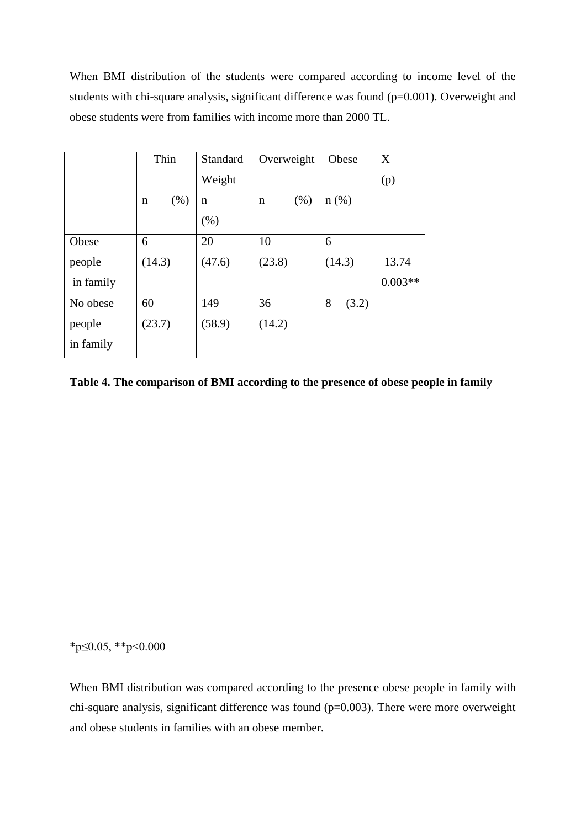When BMI distribution of the students were compared according to income level of the students with chi-square analysis, significant difference was found (p=0.001). Overweight and obese students were from families with income more than 2000 TL.

|           | Thin      | Standard | Overweight | Obese      | X         |
|-----------|-----------|----------|------------|------------|-----------|
|           |           | Weight   |            |            | (p)       |
|           | (% )<br>n | n        | (% )<br>n  | $n$ (%)    |           |
|           |           | (% )     |            |            |           |
| Obese     | 6         | 20       | 10         | 6          |           |
| people    | (14.3)    | (47.6)   | (23.8)     | (14.3)     | 13.74     |
| in family |           |          |            |            | $0.003**$ |
| No obese  | 60        | 149      | 36         | 8<br>(3.2) |           |
| people    | (23.7)    | (58.9)   | (14.2)     |            |           |
| in family |           |          |            |            |           |

**Table 4. The comparison of BMI according to the presence of obese people in family**

\*p≤0.05, \*\*p<0.000

When BMI distribution was compared according to the presence obese people in family with chi-square analysis, significant difference was found (p=0.003). There were more overweight and obese students in families with an obese member.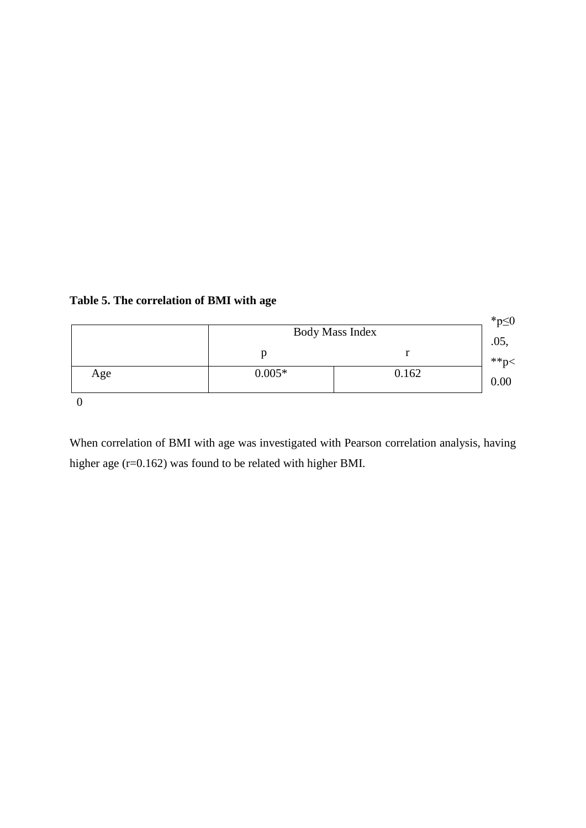| Table 5. The correlation of BMI with age |  |
|------------------------------------------|--|
|------------------------------------------|--|



When correlation of BMI with age was investigated with Pearson correlation analysis, having higher age (r=0.162) was found to be related with higher BMI.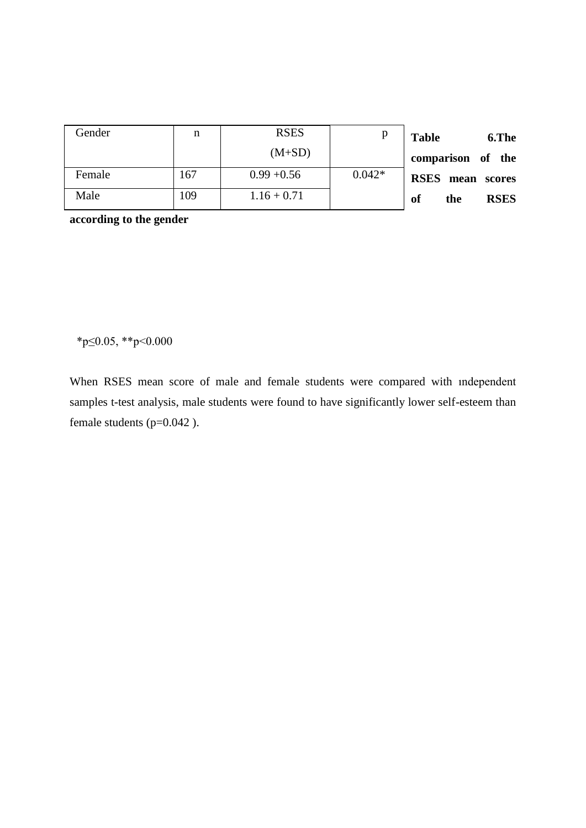| Gender | n   | <b>RSES</b>   |          | <b>Table</b><br>6.The    |
|--------|-----|---------------|----------|--------------------------|
|        |     | $(M+SD)$      |          | comparison of the        |
| Female | 167 | $0.99 + 0.56$ | $0.042*$ | <b>RSES</b> mean scores  |
| Male   | 109 | $1.16 + 0.71$ |          | <b>RSES</b><br>of<br>the |

**according to the gender**

\*p≤0.05, \*\*p<0.000

When RSES mean score of male and female students were compared with ındependent samples t-test analysis, male students were found to have significantly lower self-esteem than female students (p=0.042 ).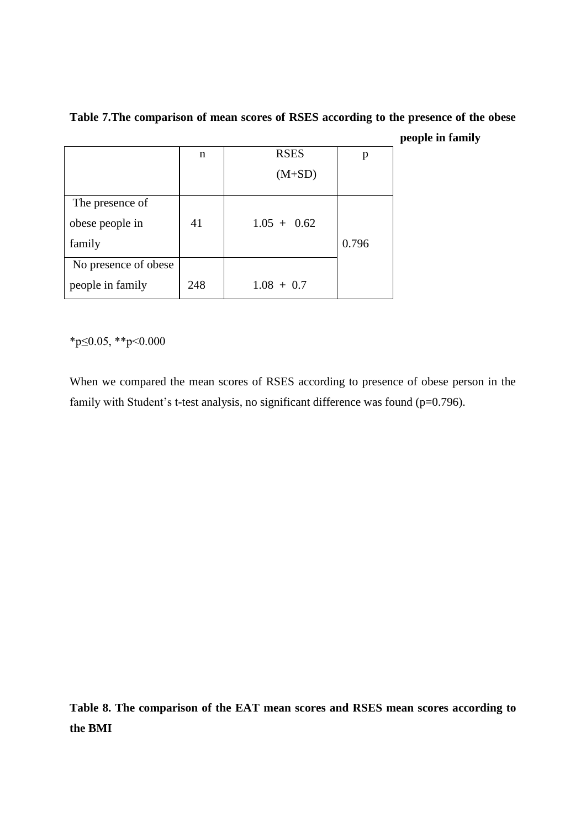|                      | n   | <b>RSES</b>   | p     |
|----------------------|-----|---------------|-------|
|                      |     | $(M+SD)$      |       |
| The presence of      |     |               |       |
| obese people in      | 41  | $1.05 + 0.62$ |       |
| family               |     |               | 0.796 |
| No presence of obese |     |               |       |
| people in family     | 248 | $1.08 + 0.7$  |       |

**Table 7.The comparison of mean scores of RSES according to the presence of the obese people in family**

\*p≤0.05, \*\*p<0.000

When we compared the mean scores of RSES according to presence of obese person in the family with Student's t-test analysis, no significant difference was found (p=0.796).

**Table 8. The comparison of the EAT mean scores and RSES mean scores according to the BMI**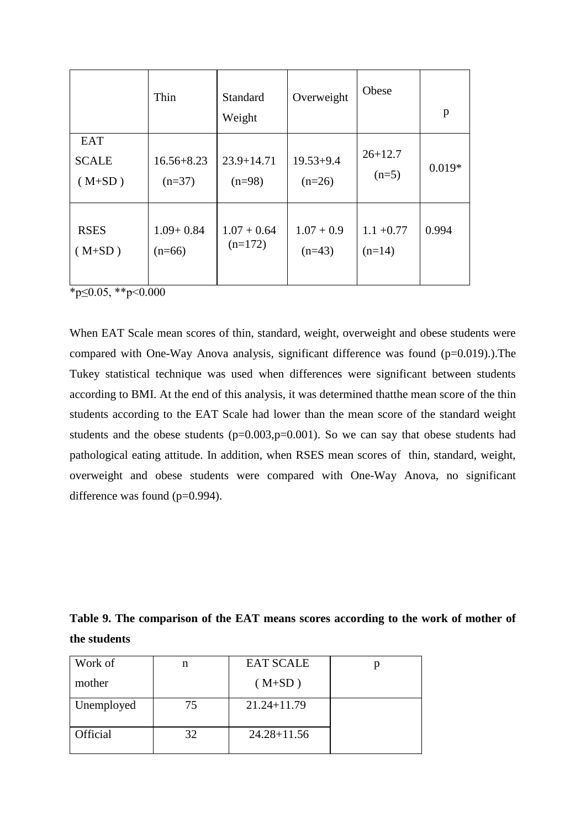|                                        | Thin                       | Standard<br>Weight         | Overweight                | Obese                    | p        |
|----------------------------------------|----------------------------|----------------------------|---------------------------|--------------------------|----------|
| <b>EAT</b><br><b>SCALE</b><br>$(M+SD)$ | $16.56 + 8.23$<br>$(n=37)$ | $23.9 + 14.71$<br>$(n=98)$ | $19.53 + 9.4$<br>$(n=26)$ | $26 + 12.7$<br>$(n=5)$   | $0.019*$ |
| <b>RSES</b><br>$(M+SD)$                | $1.09 + 0.84$<br>$(n=66)$  | $1.07 + 0.64$<br>$(n=172)$ | $1.07 + 0.9$<br>$(n=43)$  | $1.1 + 0.77$<br>$(n=14)$ | 0.994    |

\*p≤0.05, \*\*p<0.000

When EAT Scale mean scores of thin, standard, weight, overweight and obese students were compared with One-Way Anova analysis, significant difference was found  $(p=0.019)$ .).The Tukey statistical technique was used when differences were significant between students according to BMI. At the end of this analysis, it was determined thatthe mean score of the thin students according to the EAT Scale had lower than the mean score of the standard weight students and the obese students  $(p=0.003, p=0.001)$ . So we can say that obese students had pathological eating attitude. In addition, when RSES mean scores of thin, standard, weight, overweight and obese students were compared with One-Way Anova, no significant difference was found (p=0.994).

**Table 9. The comparison of the EAT means scores according to the work of mother of the students**

| Work of    | n  | <b>EAT SCALE</b> |  |
|------------|----|------------------|--|
| mother     |    | $(M+SD)$         |  |
| Unemployed | 75 | $21.24 + 11.79$  |  |
| Official   | 32 | $24.28 + 11.56$  |  |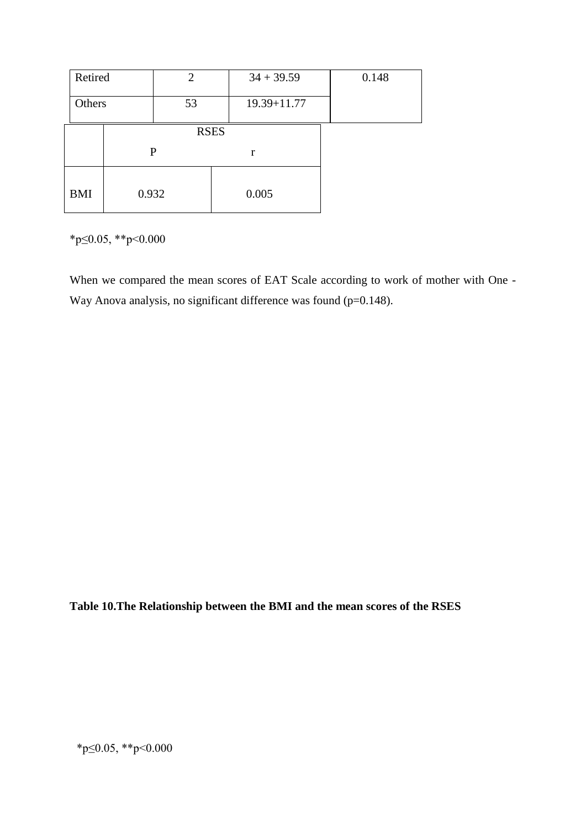| Retired    |       | $\overline{2}$ |   | $34 + 39.59$    | 0.148 |
|------------|-------|----------------|---|-----------------|-------|
| Others     |       | 53             |   | $19.39 + 11.77$ |       |
|            |       | <b>RSES</b>    |   |                 |       |
|            |       | $\mathbf{P}$   | r |                 |       |
| <b>BMI</b> | 0.932 |                |   | 0.005           |       |

\*p≤0.05, \*\*p<0.000

When we compared the mean scores of EAT Scale according to work of mother with One - Way Anova analysis, no significant difference was found (p=0.148).

**Table 10.The Relationship between the BMI and the mean scores of the RSES**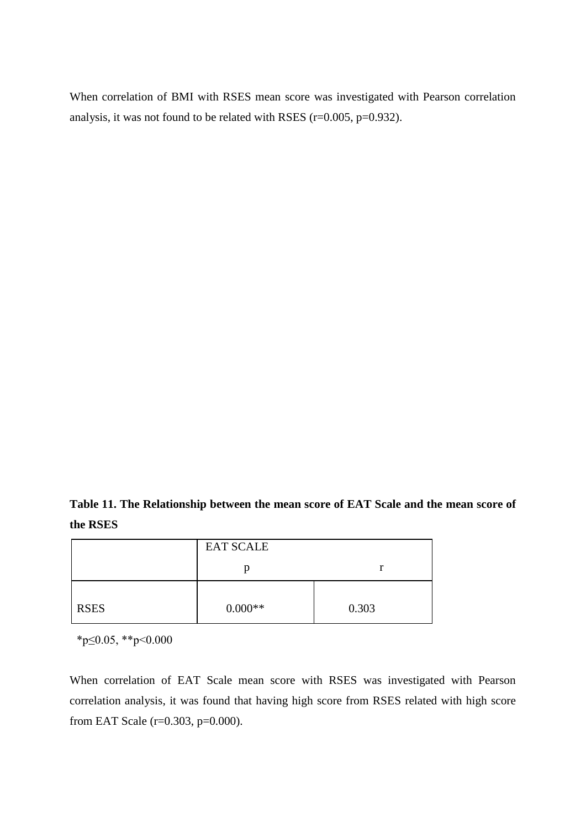When correlation of BMI with RSES mean score was investigated with Pearson correlation analysis, it was not found to be related with RSES (r=0.005, p=0.932).

**Table 11. The Relationship between the mean score of EAT Scale and the mean score of the RSES**

|             | <b>EAT SCALE</b> |       |
|-------------|------------------|-------|
|             | Ŋ                |       |
| <b>RSES</b> | $0.000**$        | 0.303 |

\*p≤0.05, \*\*p<0.000

When correlation of EAT Scale mean score with RSES was investigated with Pearson correlation analysis, it was found that having high score from RSES related with high score from EAT Scale (r=0.303, p=0.000).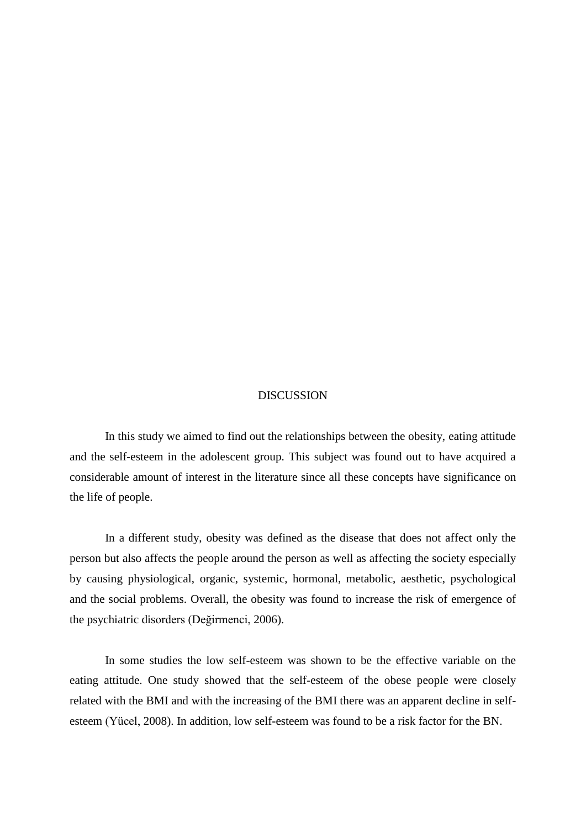#### DISCUSSION

In this study we aimed to find out the relationships between the obesity, eating attitude and the self-esteem in the adolescent group. This subject was found out to have acquired a considerable amount of interest in the literature since all these concepts have significance on the life of people.

In a different study, obesity was defined as the disease that does not affect only the person but also affects the people around the person as well as affecting the society especially by causing physiological, organic, systemic, hormonal, metabolic, aesthetic, psychological and the social problems. Overall, the obesity was found to increase the risk of emergence of the psychiatric disorders (Değirmenci, 2006).

In some studies the low self-esteem was shown to be the effective variable on the eating attitude. One study showed that the self-esteem of the obese people were closely related with the BMI and with the increasing of the BMI there was an apparent decline in selfesteem (Yücel, 2008). In addition, low self-esteem was found to be a risk factor for the BN.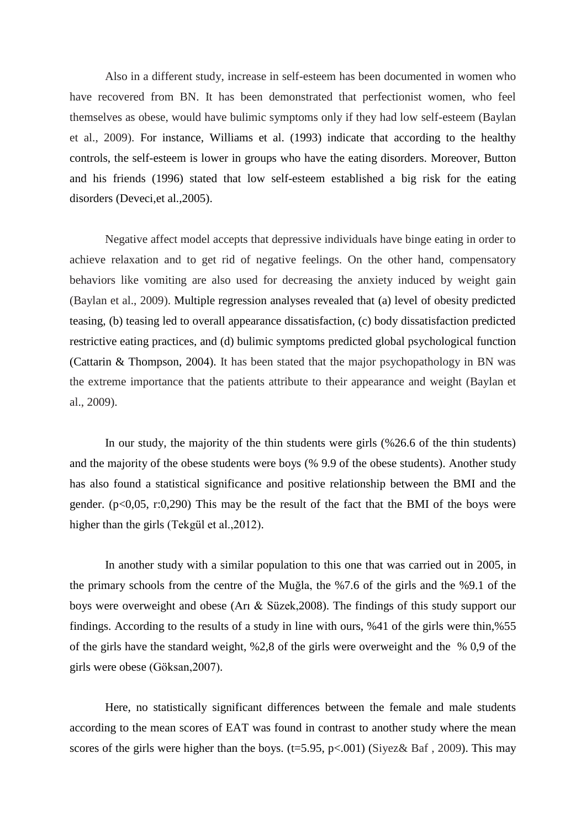Also in a different study, increase in self-esteem has been documented in women who have recovered from BN. It has been demonstrated that perfectionist women, who feel themselves as obese, would have bulimic symptoms only if they had low self-esteem (Baylan et al., 2009). For instance, Williams et al. (1993) indicate that according to the healthy controls, the self-esteem is lower in groups who have the eating disorders. Moreover, Button and his friends (1996) stated that low self-esteem established a big risk for the eating disorders (Deveci,et al.,2005).

Negative affect model accepts that depressive individuals have binge eating in order to achieve relaxation and to get rid of negative feelings. On the other hand, compensatory behaviors like vomiting are also used for decreasing the anxiety induced by weight gain (Baylan et al., 2009). Multiple regression analyses revealed that (a) level of obesity predicted teasing, (b) teasing led to overall appearance dissatisfaction, (c) body dissatisfaction predicted restrictive eating practices, and (d) bulimic symptoms predicted global psychological function (Cattarin & Thompson, 2004). It has been stated that the major psychopathology in BN was the extreme importance that the patients attribute to their appearance and weight (Baylan et al., 2009).

In our study, the majority of the thin students were girls (%26.6 of the thin students) and the majority of the obese students were boys (% 9.9 of the obese students). Another study has also found a statistical significance and positive relationship between the BMI and the gender. ( $p<0.05$ , r:0,290) This may be the result of the fact that the BMI of the boys were higher than the girls (Tekgül et al.,2012).

In another study with a similar population to this one that was carried out in 2005, in the primary schools from the centre of the Muğla, the %7.6 of the girls and the %9.1 of the boys were overweight and obese (Arı & Süzek,2008). The findings of this study support our findings. According to the results of a study in line with ours, %41 of the girls were thin,%55 of the girls have the standard weight, %2,8 of the girls were overweight and the % 0,9 of the girls were obese (Göksan,2007).

Here, no statistically significant differences between the female and male students according to the mean scores of EAT was found in contrast to another study where the mean scores of the girls were higher than the boys. ( $t=5.95$ ,  $p<.001$ ) (Siyez& Baf, 2009). This may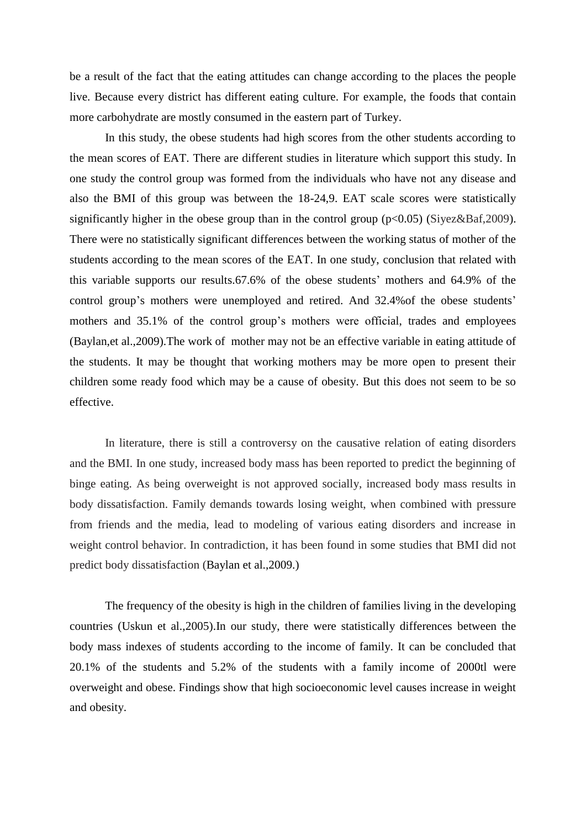be a result of the fact that the eating attitudes can change according to the places the people live. Because every district has different eating culture. For example, the foods that contain more carbohydrate are mostly consumed in the eastern part of Turkey.

In this study, the obese students had high scores from the other students according to the mean scores of EAT. There are different studies in literature which support this study. In one study the control group was formed from the individuals who have not any disease and also the BMI of this group was between the 18-24,9. EAT scale scores were statistically significantly higher in the obese group than in the control group  $(p<0.05)$  (Siyez&Baf,2009). There were no statistically significant differences between the working status of mother of the students according to the mean scores of the EAT. In one study, conclusion that related with this variable supports our results.67.6% of the obese students' mothers and 64.9% of the control group's mothers were unemployed and retired. And 32.4%of the obese students' mothers and 35.1% of the control group's mothers were official, trades and employees (Baylan,et al.,2009).The work of mother may not be an effective variable in eating attitude of the students. It may be thought that working mothers may be more open to present their children some ready food which may be a cause of obesity. But this does not seem to be so effective.

In literature, there is still a controversy on the causative relation of eating disorders and the BMI. In one study, increased body mass has been reported to predict the beginning of binge eating. As being overweight is not approved socially, increased body mass results in body dissatisfaction. Family demands towards losing weight, when combined with pressure from friends and the media, lead to modeling of various eating disorders and increase in weight control behavior. In contradiction, it has been found in some studies that BMI did not predict body dissatisfaction (Baylan et al.,2009.)

The frequency of the obesity is high in the children of families living in the developing countries (Uskun et al.,2005).In our study, there were statistically differences between the body mass indexes of students according to the income of family. It can be concluded that 20.1% of the students and 5.2% of the students with a family income of 2000tl were overweight and obese. Findings show that high socioeconomic level causes increase in weight and obesity.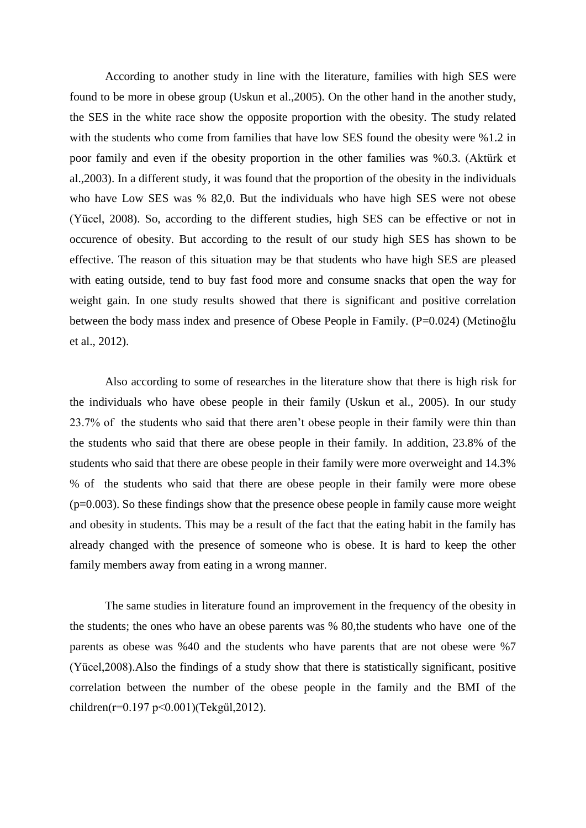According to another study in line with the literature, families with high SES were found to be more in obese group (Uskun et al.,2005). On the other hand in the another study, the SES in the white race show the opposite proportion with the obesity. The study related with the students who come from families that have low SES found the obesity were %1.2 in poor family and even if the obesity proportion in the other families was %0.3. (Aktürk et al.,2003). In a different study, it was found that the proportion of the obesity in the individuals who have Low SES was % 82,0. But the individuals who have high SES were not obese (Yücel, 2008). So, according to the different studies, high SES can be effective or not in occurence of obesity. But according to the result of our study high SES has shown to be effective. The reason of this situation may be that students who have high SES are pleased with eating outside, tend to buy fast food more and consume snacks that open the way for weight gain. In one study results showed that there is significant and positive correlation between the body mass index and presence of Obese People in Family. (P=0.024) (Metinoğlu et al., 2012).

Also according to some of researches in the literature show that there is high risk for the individuals who have obese people in their family (Uskun et al., 2005). In our study 23.7% of the students who said that there aren't obese people in their family were thin than the students who said that there are obese people in their family. In addition, 23.8% of the students who said that there are obese people in their family were more overweight and 14.3% % of the students who said that there are obese people in their family were more obese (p=0.003). So these findings show that the presence obese people in family cause more weight and obesity in students. This may be a result of the fact that the eating habit in the family has already changed with the presence of someone who is obese. It is hard to keep the other family members away from eating in a wrong manner.

The same studies in literature found an improvement in the frequency of the obesity in the students; the ones who have an obese parents was % 80,the students who have one of the parents as obese was %40 and the students who have parents that are not obese were %7 (Yücel,2008).Also the findings of a study show that there is statistically significant, positive correlation between the number of the obese people in the family and the BMI of the children(r=0.197 p<0.001)(Tekgül,2012).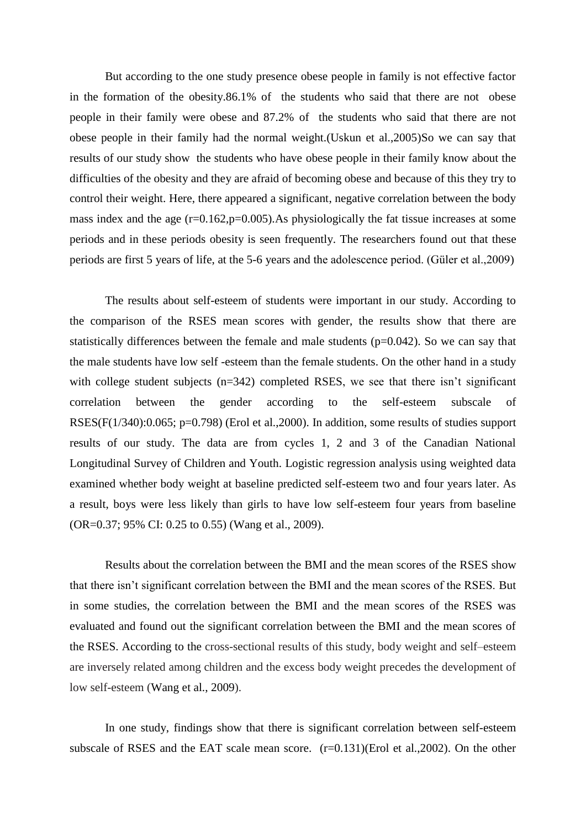But according to the one study presence obese people in family is not effective factor in the formation of the obesity.86.1% of the students who said that there are not obese people in their family were obese and 87.2% of the students who said that there are not obese people in their family had the normal weight.(Uskun et al.,2005)So we can say that results of our study show the students who have obese people in their family know about the difficulties of the obesity and they are afraid of becoming obese and because of this they try to control their weight. Here, there appeared a significant, negative correlation between the body mass index and the age  $(r=0.162, p=0.005)$ . As physiologically the fat tissue increases at some periods and in these periods obesity is seen frequently. The researchers found out that these periods are first 5 years of life, at the 5-6 years and the adolescence period. (Güler et al.,2009)

The results about self-esteem of students were important in our study. According to the comparison of the RSES mean scores with gender, the results show that there are statistically differences between the female and male students  $(p=0.042)$ . So we can say that the male students have low self -esteem than the female students. On the other hand in a study with college student subjects (n=342) completed RSES, we see that there isn't significant correlation between the gender according to the self-esteem subscale of RSES(F(1/340):0.065; p=0.798) (Erol et al.,2000). In addition, some results of studies support results of our study. The data are from cycles 1, 2 and 3 of the Canadian National Longitudinal Survey of Children and Youth. Logistic regression analysis using weighted data examined whether body weight at baseline predicted self-esteem two and four years later. As a result, boys were less likely than girls to have low self-esteem four years from baseline (OR=0.37; 95% CI: 0.25 to 0.55) (Wang et al., 2009).

Results about the correlation between the BMI and the mean scores of the RSES show that there isn't significant correlation between the BMI and the mean scores of the RSES. But in some studies, the correlation between the BMI and the mean scores of the RSES was evaluated and found out the significant correlation between the BMI and the mean scores of the RSES. According to the cross-sectional results of this study, body weight and self–esteem are inversely related among children and the excess body weight precedes the development of low self-esteem (Wang et al., 2009).

In one study, findings show that there is significant correlation between self-esteem subscale of RSES and the EAT scale mean score. (r=0.131)(Erol et al.,2002). On the other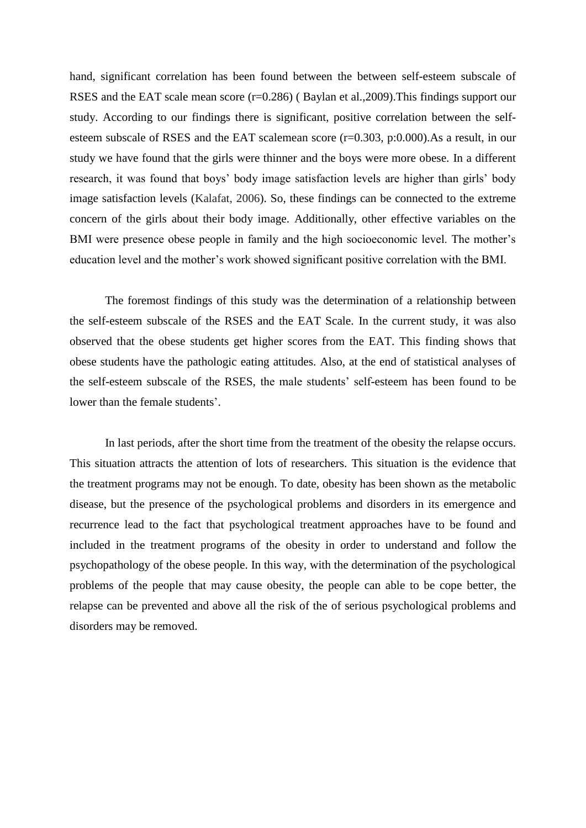hand, significant correlation has been found between the between self-esteem subscale of RSES and the EAT scale mean score (r=0.286) (Baylan et al.,2009). This findings support our study. According to our findings there is significant, positive correlation between the selfesteem subscale of RSES and the EAT scalemean score (r=0.303, p:0.000).As a result, in our study we have found that the girls were thinner and the boys were more obese. In a different research, it was found that boys' body image satisfaction levels are higher than girls' body image satisfaction levels (Kalafat, 2006). So, these findings can be connected to the extreme concern of the girls about their body image. Additionally, other effective variables on the BMI were presence obese people in family and the high socioeconomic level. The mother's education level and the mother's work showed significant positive correlation with the BMI.

The foremost findings of this study was the determination of a relationship between the self-esteem subscale of the RSES and the EAT Scale. In the current study, it was also observed that the obese students get higher scores from the EAT. This finding shows that obese students have the pathologic eating attitudes. Also, at the end of statistical analyses of the self-esteem subscale of the RSES, the male students' self-esteem has been found to be lower than the female students'.

In last periods, after the short time from the treatment of the obesity the relapse occurs. This situation attracts the attention of lots of researchers. This situation is the evidence that the treatment programs may not be enough. To date, obesity has been shown as the metabolic disease, but the presence of the psychological problems and disorders in its emergence and recurrence lead to the fact that psychological treatment approaches have to be found and included in the treatment programs of the obesity in order to understand and follow the psychopathology of the obese people. In this way, with the determination of the psychological problems of the people that may cause obesity, the people can able to be cope better, the relapse can be prevented and above all the risk of the of serious psychological problems and disorders may be removed.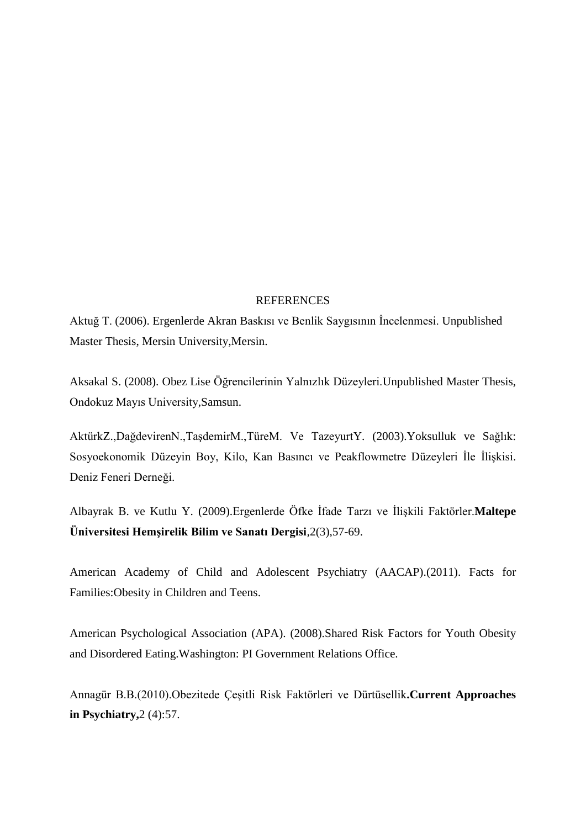#### **REFERENCES**

Aktuğ T. (2006). Ergenlerde Akran Baskısı ve Benlik Saygısının İncelenmesi. Unpublished Master Thesis, Mersin University,Mersin.

Aksakal S. (2008). Obez Lise Öğrencilerinin Yalnızlık Düzeyleri.Unpublished Master Thesis, Ondokuz Mayıs University,Samsun.

AktürkZ.,DağdevirenN.,TaĢdemirM.,TüreM. Ve TazeyurtY. (2003).Yoksulluk ve Sağlık: Sosyoekonomik Düzeyin Boy, Kilo, Kan Basıncı ve Peakflowmetre Düzeyleri İle İlişkisi. Deniz Feneri Derneği.

Albayrak B. ve Kutlu Y. (2009).Ergenlerde Öfke Ġfade Tarzı ve ĠliĢkili Faktörler.**Maltepe Üniversitesi Hemşirelik Bilim ve Sanatı Dergisi***,*2(3),57-69.

American Academy of Child and Adolescent Psychiatry (AACAP).(2011). Facts for Families:Obesity in Children and Teens.

American Psychological Association (APA). (2008).Shared Risk Factors for Youth Obesity and Disordered Eating.Washington: PI Government Relations Office.

Annagür B.B.(2010).Obezitede ÇeĢitli Risk Faktörleri ve Dürtüsellik**.Current Approaches in Psychiatry,**2 (4):57.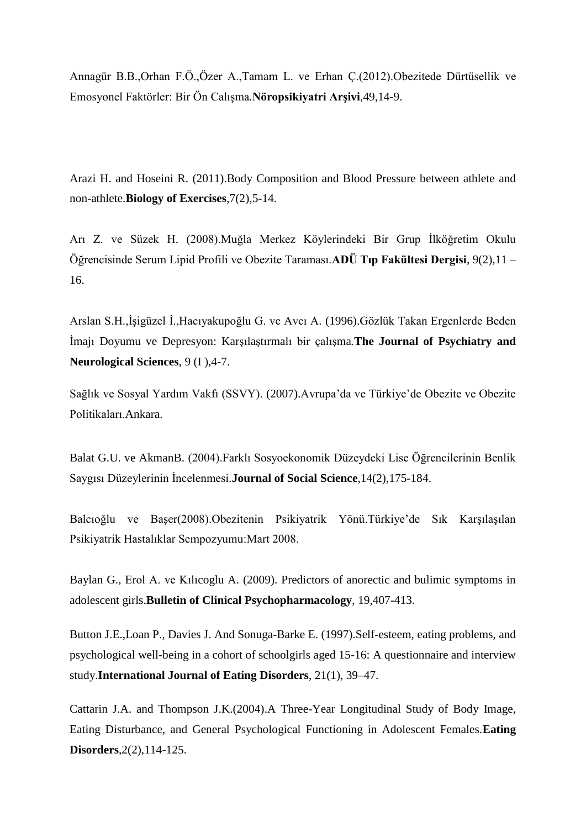Annagür B.B.,Orhan F.Ö.,Özer A.,Tamam L. ve Erhan Ç.(2012).Obezitede Dürtüsellik ve Emosyonel Faktörler: Bir Ön CalıĢma*.***Nöropsikiyatri Arşivi**,49,14-9.

Arazi H. and Hoseini R. (2011).Body Composition and Blood Pressure between athlete and non-athlete.**Biology of Exercises**,7(2),5-14.

Arı Z. ve Süzek H. (2008).Muğla Merkez Köylerindeki Bir Grup İlköğretim Okulu Öğrencisinde Serum Lipid Profili ve Obezite Taraması.**ADÜ Tıp Fakültesi Dergisi**, 9(2),11 – 16.

Arslan S.H.,İsigüzel İ.,Hacıyakupoğlu G. ve Avcı A. (1996).Gözlük Takan Ergenlerde Beden İmajı Doyumu ve Depresyon: Karşılaştırmalı bir çalışma.**The Journal of Psychiatry and Neurological Sciences**, 9 (I ),4-7.

Sağlık ve Sosyal Yardım Vakfı (SSVY). (2007).Avrupa'da ve Türkiye'de Obezite ve Obezite Politikaları.Ankara.

Balat G.U. ve AkmanB. (2004).Farklı Sosyoekonomik Düzeydeki Lise Öğrencilerinin Benlik Saygısı Düzeylerinin İncelenmesi.**Journal of Social Science**,14(2),175-184.

Balcıoğlu ve Başer(2008).Obezitenin Psikiyatrik Yönü.Türkiye'de Sık Karşılaşılan Psikiyatrik Hastalıklar Sempozyumu:Mart 2008.

Baylan G., Erol A. ve Kılıcoglu A. (2009). Predictors of anorectic and bulimic symptoms in adolescent girls.**Bulletin of Clinical Psychopharmacology**, 19,407-413.

Button J.E.,Loan P., Davies J. And Sonuga-Barke E. (1997).Self-esteem, eating problems, and psychological well-being in a cohort of schoolgirls aged 15-16: A questionnaire and interview study.**International Journal of Eating Disorders**, 21(1), 39–47.

Cattarin J.A. and Thompson J.K.(2004).A Three-Year Longitudinal Study of Body Image, Eating Disturbance, and General Psychological Functioning in Adolescent Females.**Eating Disorders**,2(2),114-125.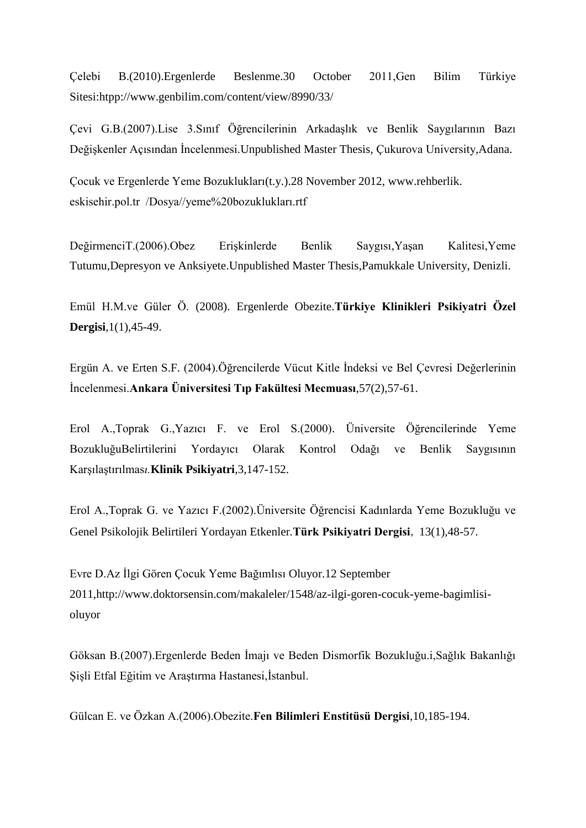Çelebi B.(2010).Ergenlerde Beslenme.30 October 2011,Gen Bilim Türkiye Sitesi:htpp://www.genbilim.com/content/view/8990/33/

Çevi G.B.(2007).Lise 3.Sınıf Öğrencilerinin ArkadaĢlık ve Benlik Saygılarının Bazı Değişkenler Açısından İncelenmesi. Unpublished Master Thesis, Çukurova University,Adana.

Çocuk ve Ergenlerde Yeme Bozuklukları(t.y.).28 November 2012, [www.rehberlik.](http://www.rehberlik/) eskisehir.pol.tr /Dosya//yeme%20bozuklukları.rtf

DeğirmenciT.(2006).Obez Erişkinlerde Benlik Saygısı,Yaşan Kalitesi,Yeme Tutumu,Depresyon ve Anksiyete.Unpublished Master Thesis,Pamukkale University, Denizli.

Emül H.M.ve Güler Ö. (2008). Ergenlerde Obezite.**Türkiye Klinikleri Psikiyatri Özel Dergisi**,1(1),45-49.

Ergün A. ve Erten S.F. (2004).Öğrencilerde Vücut Kitle İndeksi ve Bel Çevresi Değerlerinin Ġncelenmesi.**Ankara Üniversitesi Tıp Fakültesi Mecmuası**,57(2),57-61.

Erol A.,Toprak G.,Yazıcı F. ve Erol S.(2000). Üniversite Öğrencilerinde Yeme BozukluğuBelirtilerini Yordayıcı Olarak Kontrol Odağı ve Benlik Saygısının KarĢılaĢtırılmas*ı.***Klinik Psikiyatri**,3,147-152.

Erol A.,Toprak G. ve Yazıcı F.(2002).Üniversite Öğrencisi Kadınlarda Yeme Bozukluğu ve Genel Psikolojik Belirtileri Yordayan Etkenler*.***Türk Psikiyatri Dergisi**, 13(1),48-57.

Evre D.Az İlgi Gören Cocuk Yeme Bağımlısı Oluyor.12 September 2011,http://www.doktorsensin.com/makaleler/1548/az-ilgi-goren-cocuk-yeme-bagimlisioluyor

Göksan B.(2007).Ergenlerde Beden İmajı ve Beden Dismorfik Bozukluğu.i,Sağlık Bakanlığı Şişli Etfal Eğitim ve Araştırma Hastanesi,İstanbul.

Gülcan E. ve Özkan A.(2006).Obezite.**Fen Bilimleri Enstitüsü Dergisi**,10,185-194.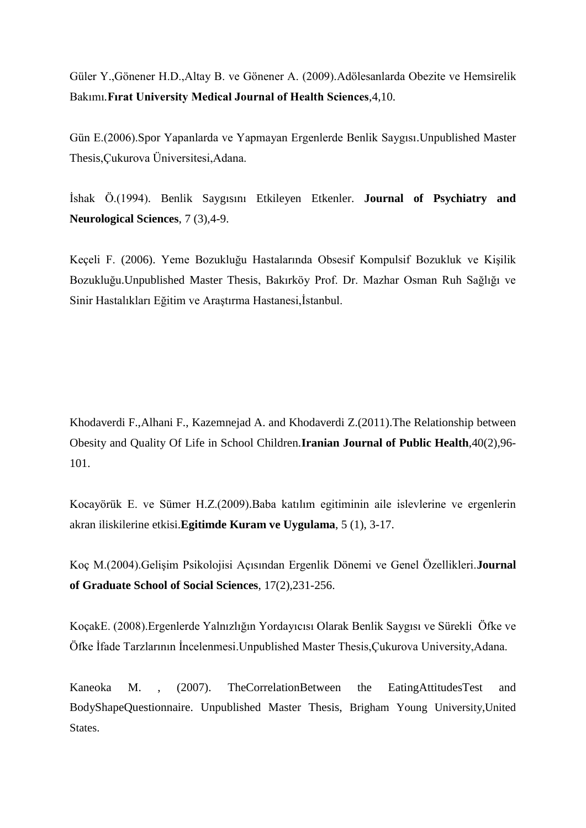Güler Y.,Gönener H.D.,Altay B. ve Gönener A. (2009).Adölesanlarda Obezite ve Hemsirelik Bakımı*.***Fırat University Medical Journal of Health Sciences**,4,10.

Gün E.(2006).Spor Yapanlarda ve Yapmayan Ergenlerde Benlik Saygısı.Unpublished Master Thesis,Çukurova Üniversitesi,Adana.

İshak Ö.(1994). Benlik Saygısını Etkileyen Etkenler. **Journal of Psychiatry and Neurological Sciences**, 7 (3),4-9.

Keçeli F. (2006). Yeme Bozukluğu Hastalarında Obsesif Kompulsif Bozukluk ve Kişilik Bozukluğu.Unpublished Master Thesis, Bakırköy Prof. Dr. Mazhar Osman Ruh Sağlığı ve Sinir Hastalıkları Eğitim ve Araştırma Hastanesi,İstanbul.

Khodaverdi F.,Alhani F., Kazemnejad A. and Khodaverdi Z.(2011).The Relationship between Obesity and Quality Of Life in School Children.**Iranian Journal of Public Health**,40(2),96- 101.

Kocayörük E. ve Sümer H.Z.(2009).Baba katılım egitiminin aile islevlerine ve ergenlerin akran iliskilerine etkisi.**Egitimde Kuram ve Uygulama**, 5 (1), 3-17.

Koç M.(2004).Gelişim Psikolojisi Açısından Ergenlik Dönemi ve Genel Özellikleri.**Journal of Graduate School of Social Sciences**, 17(2),231-256.

KoçakE. (2008).Ergenlerde Yalnızlığın Yordayıcısı Olarak Benlik Saygısı ve Sürekli Öfke ve Öfke İfade Tarzlarının İncelenmesi. Unpublished Master Thesis, Çukurova University, Adana.

Kaneoka M. , (2007). Th[eCorrelationBetween](http://contentdm.lib.byu.edu/cdm/search/searchterm/Correlation) the [EatingAttitudes](http://contentdm.lib.byu.edu/cdm/search/searchterm/Eating)[Test](http://contentdm.lib.byu.edu/cdm/search/searchterm/Test) and [BodyShape](http://contentdm.lib.byu.edu/cdm/search/searchterm/Body)[Questionnaire.](http://contentdm.lib.byu.edu/cdm/search/searchterm/Questionnaire) Unpublished Master Thesis, Brigham Young University,United States.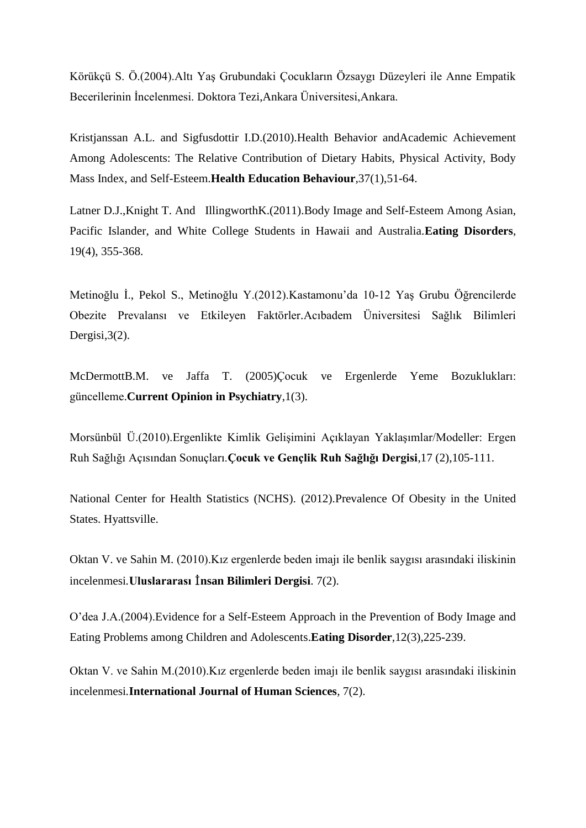Körükçü S. Ö.(2004).Altı YaĢ Grubundaki Çocukların Özsaygı Düzeyleri ile Anne Empatik Becerilerinin İncelenmesi. Doktora Tezi,Ankara Üniversitesi,Ankara.

Kristjanssan A.L. and Sigfusdottir I.D.(2010).Health Behavior andAcademic Achievement Among Adolescents: The Relative Contribution of Dietary Habits, Physical Activity, Body Mass Index, and Self-Esteem.**Health Education Behaviour**,37(1),51-64.

[Latner](http://www.tandfonline.com/action/doSearch?action=runSearch&type=advanced&result=true&prevSearch=%2Bauthorsfield%3A(Latner%2C+Janet+D.)) D.J.[,Knight](http://www.tandfonline.com/action/doSearch?action=runSearch&type=advanced&result=true&prevSearch=%2Bauthorsfield%3A(Knight%2C+Tess)) T. And [IllingworthK](http://www.tandfonline.com/action/doSearch?action=runSearch&type=advanced&result=true&prevSearch=%2Bauthorsfield%3A(Illingworth%2C+Kaye)).(2011).Body Image and Self-Esteem Among Asian, Pacific Islander, and White College Students in Hawaii and Australia.**Eating Disorders**[,](http://www.tandfonline.com/loi/uedi20?open=19#vol_19) [19\(](http://www.tandfonline.com/loi/uedi20?open=19#vol_19)4), 355-368.

Metinoğlu İ., Pekol S., Metinoğlu Y.(2012).Kastamonu'da 10-12 Yaş Grubu Öğrencilerde Obezite Prevalansı ve Etkileyen Faktörler.Acıbadem Üniversitesi Sağlık Bilimleri Dergisi,  $3(2)$ .

McDermottB.M. ve Jaffa T. (2005)Çocuk ve Ergenlerde Yeme Bozuklukları: güncelleme.**Current Opinion in Psychiatry**,1(3).

Morsünbül Ü.(2010).Ergenlikte Kimlik Gelişimini Açıklayan Yaklaşımlar/Modeller: Ergen Ruh Sağlığı Açısından Sonuçları.**Çocuk ve Gençlik Ruh Sağlığı Dergisi**,17 (2),105-111.

National Center for Health Statistics (NCHS). (2012).Prevalence Of Obesity in the United States. Hyattsville.

Oktan V. ve Sahin M. (2010).Kız ergenlerde beden imajı ile benlik saygısı arasındaki iliskinin incelenmesi*.***Uluslararası** İ**nsan Bilimleri Dergisi**. 7(2).

O'dea J.A.(2004).Evidence for a Self-Esteem Approach in the Prevention of Body Image and Eating Problems among Children and Adolescents.**Eating Disorder**,12(3),225-239.

Oktan V. ve Sahin M.(2010).Kız ergenlerde beden imajı ile benlik saygısı arasındaki iliskinin incelenmesi*.***International Journal of Human Sciences**, 7(2).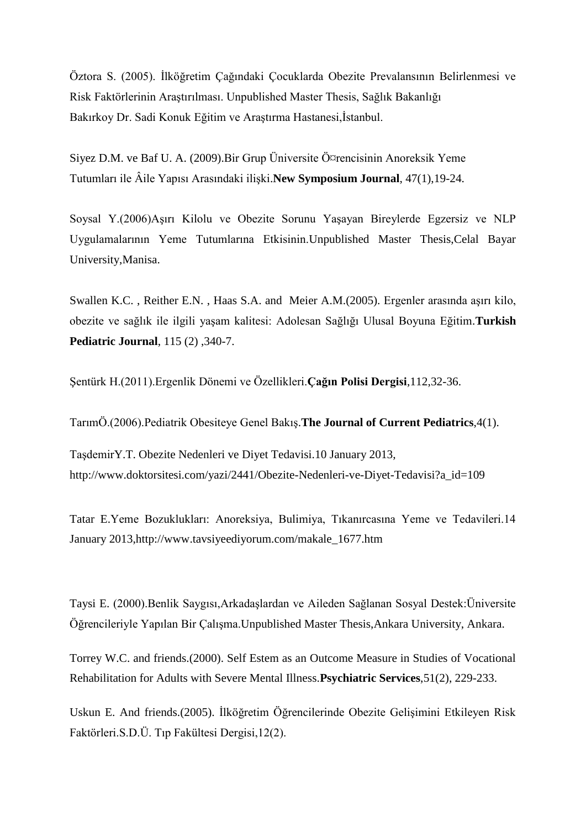Öztora S. (2005). İlköğretim Çağındaki Çocuklarda Obezite Prevalansının Belirlenmesi ve Risk Faktörlerinin Araştırılması. Unpublished Master Thesis, Sağlık Bakanlığı Bakırkoy Dr. Sadi Konuk Eğitim ve Araştırma Hastanesi,İstanbul.

Siyez D.M. ve Baf U. A. (2009).Bir Grup Üniversite Ö¤rencisinin Anoreksik Yeme Tutumları ile Âile Yapısı Arasındaki ilişki.**New Symposium Journal**, 47(1), 19-24.

Soysal Y.(2006)AĢırı Kilolu ve Obezite Sorunu YaĢayan Bireylerde Egzersiz ve NLP Uygulamalarının Yeme Tutumlarına Etkisinin.Unpublished Master Thesis,Celal Bayar University,Manisa.

[Swallen K.C.](http://translate.googleusercontent.com/translate_c?hl=tr&langpair=en%7Ctr&rurl=translate.google.com.tr&u=http://www.ncbi.nlm.nih.gov/pubmed%3Fterm%3D%2522Swallen%2520KC%2522%255BAuthor%255D&usg=ALkJrhg1aQ0fnjLCu-GCHg4iwHm3FaHLww), [Reither E.N.](http://translate.googleusercontent.com/translate_c?hl=tr&langpair=en%7Ctr&rurl=translate.google.com.tr&u=http://www.ncbi.nlm.nih.gov/pubmed%3Fterm%3D%2522Reither%2520EN%2522%255BAuthor%255D&usg=ALkJrhje1ODCv-ciqn1D5S-HcA0VRpATPw), [Haas S.A.](http://translate.googleusercontent.com/translate_c?hl=tr&langpair=en%7Ctr&rurl=translate.google.com.tr&u=http://www.ncbi.nlm.nih.gov/pubmed%3Fterm%3D%2522Haas%2520SA%2522%255BAuthor%255D&usg=ALkJrhgSQlsXQ1wcAkwyPGHnbKssEGGhWA) and [Meier A.M.](http://translate.googleusercontent.com/translate_c?hl=tr&langpair=en%7Ctr&rurl=translate.google.com.tr&u=http://www.ncbi.nlm.nih.gov/pubmed%3Fterm%3D%2522Meier%2520AM%2522%255BAuthor%255D&usg=ALkJrhgsBc4eDUwH90AnzjUvppDrIlMMLw) (2005). Ergenler arasında asırı kilo, obezite ve sağlık ile ilgili yaĢam kalitesi: Adolesan Sağlığı Ulusal Boyuna Eğitim*.***Turkish Pediatric Journal**, 115 (2) ,340-7.

ġentürk H.(2011).Ergenlik Dönemi ve Özellikleri.**Çağın Polisi Dergisi**,112,32-36.

TarımÖ.(2006).Pediatrik Obesiteye Genel BakıĢ.**The Journal of Current Pediatrics**,4(1).

TaĢdemirY.T. Obezite Nedenleri ve Diyet Tedavisi.10 January 2013, [http://www.doktorsitesi.com/yazi/2441/Obezite-Nedenleri-ve-Diyet-Tedavisi?a\\_id=109](http://www.doktorsitesi.com/yazi/2441/Obezite-Nedenleri-ve-Diyet-Tedavisi?a_id=109)

Tatar E.Yeme Bozuklukları: Anoreksiya, Bulimiya, Tıkanırcasına Yeme ve Tedavileri.14 January 2013,http://www.tavsiyeediyorum.com/makale\_1677.htm

Taysi E. (2000).Benlik Saygısı,ArkadaĢlardan ve Aileden Sağlanan Sosyal Destek:Üniversite Öğrencileriyle Yapılan Bir Calısma.Unpublished Master Thesis,Ankara University, Ankara.

Torrey W.C. and friends.(2000). Self Estem as an Outcome Measure in Studies of Vocational Rehabilitation for Adults with Severe Mental Illness.**Psychiatric Services**,51(2), 229-233.

Uskun E. And friends.(2005). İlköğretim Öğrencilerinde Obezite Gelişimini Etkileyen Risk Faktörleri.S.D.Ü. Tıp Fakültesi Dergisi,12(2).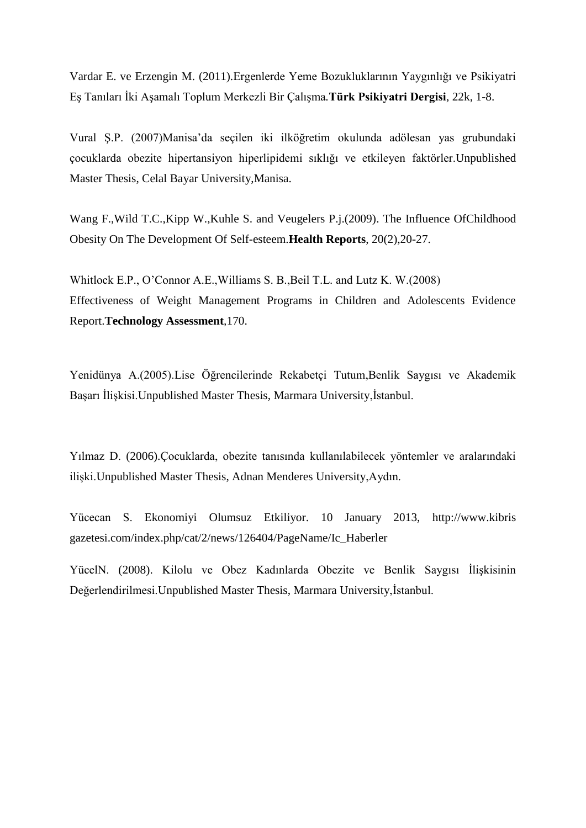Vardar E. ve Erzengin M. (2011).Ergenlerde Yeme Bozukluklarının Yaygınlığı ve Psikiyatri EĢ Tanıları Ġki AĢamalı Toplum Merkezli Bir ÇalıĢma*.***Türk Psikiyatri Dergisi**, 22k, 1-8.

Vural ġ.P. (2007)Manisa'da seçilen iki ilköğretim okulunda adölesan yas grubundaki çocuklarda obezite hipertansiyon hiperlipidemi sıklığı ve etkileyen faktörler.Unpublished Master Thesis, Celal Bayar University,Manisa.

Wang F.,Wild T.C.,Kipp W.,Kuhle S. and Veugelers P.j.(2009). The Influence OfChildhood Obesity On The Development Of Self-esteem.**Health Reports**, 20(2),20-27.

Whitlock E.P., O'Connor A.E.,Williams S. B.,Beil T.L. and Lutz K. W.(2008) Effectiveness of Weight Management Programs in Children and Adolescents Evidence Report.**Technology Assessment***,*170.

Yenidünya A.(2005).Lise Öğrencilerinde Rekabetçi Tutum,Benlik Saygısı ve Akademik Başarı İlişkisi.Unpublished Master Thesis, Marmara University,İstanbul.

Yılmaz D. (2006).Çocuklarda, obezite tanısında kullanılabilecek yöntemler ve aralarındaki iliĢki.Unpublished Master Thesis, Adnan Menderes University,Aydın.

Yücecan S. Ekonomiyi Olumsuz Etkiliyor. 10 January 2013, http://www.kibris gazetesi.com/index.php/cat/2/news/126404/PageName/Ic\_Haberler

YücelN. (2008). Kilolu ve Obez Kadınlarda Obezite ve Benlik Saygısı İlişkisinin Değerlendirilmesi.Unpublished Master Thesis, Marmara University, İstanbul.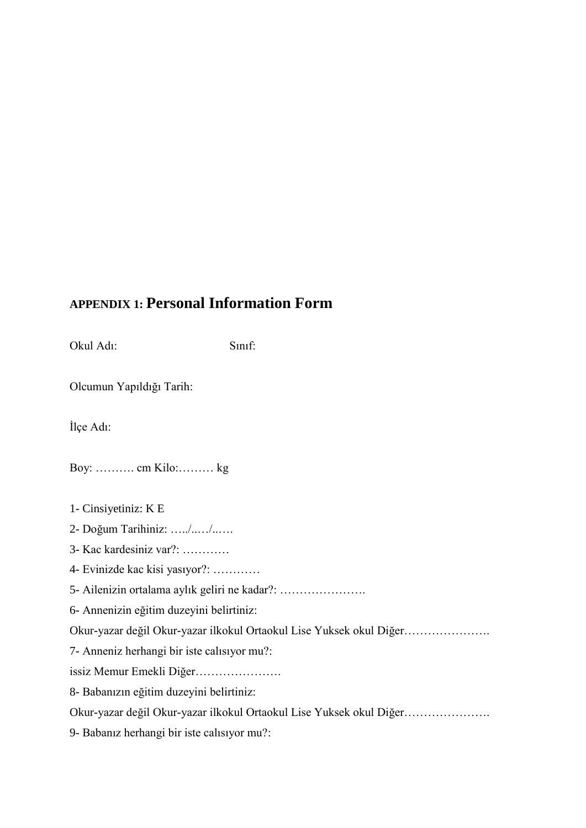## **APPENDIX 1: Personal Information Form**

Okul Adı: Sınıf: Olcumun Yapıldığı Tarih: İlçe Adı: Boy: ………. cm Kilo:……… kg 1- Cinsiyetiniz: K E 2- Doğum Tarihiniz: …../..…/..…. 3- Kac kardesiniz var?: ………… 4- Evinizde kac kisi yasıyor?: ………… 5- Ailenizin ortalama aylık geliri ne kadar?: …………………. 6- Annenizin eğitim duzeyini belirtiniz: Okur-yazar değil Okur-yazar ilkokul Ortaokul Lise Yuksek okul Diğer…………………. 7- Anneniz herhangi bir iste calısıyor mu?: issiz Memur Emekli Diğer…………………. 8- Babanızın eğitim duzeyini belirtiniz: Okur-yazar değil Okur-yazar ilkokul Ortaokul Lise Yuksek okul Diğer………………….

9- Babanız herhangi bir iste calısıyor mu?: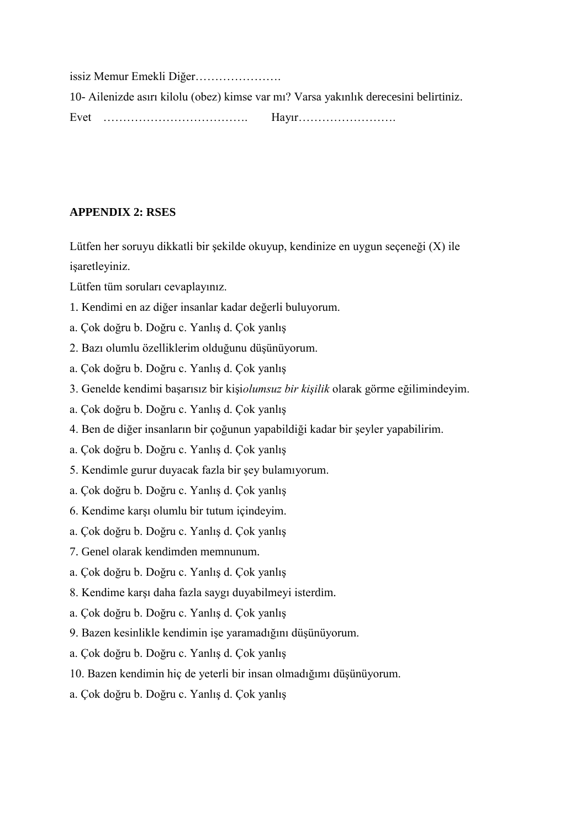issiz Memur Emekli Diğer…………………. 10- Ailenizde asırı kilolu (obez) kimse var mı? Varsa yakınlık derecesini belirtiniz. Evet ………………………………. Hayır…………………….

#### **APPENDIX 2: RSES**

Lütfen her soruyu dikkatli bir şekilde okuyup, kendinize en uygun seçeneği (X) ile isaretleyiniz.

Lütfen tüm soruları cevaplayınız.

- 1. Kendimi en az diğer insanlar kadar değerli buluyorum.
- a. Çok doğru b. Doğru c. Yanlış d. Çok yanlış
- 2. Bazı olumlu özelliklerim olduğunu düĢünüyorum.
- a. Çok doğru b. Doğru c. Yanlış d. Çok yanlış
- 3. Genelde kendimi baĢarısız bir kiĢi*olumsuz bir kişilik* olarak görme eğilimindeyim.
- a. Çok doğru b. Doğru c. Yanlış d. Çok yanlış
- 4. Ben de diğer insanların bir çoğunun yapabildiği kadar bir Ģeyler yapabilirim.
- a. Çok doğru b. Doğru c. Yanlış d. Çok yanlış
- 5. Kendimle gurur duyacak fazla bir Ģey bulamıyorum.
- a. Çok doğru b. Doğru c. Yanlış d. Çok yanlış
- 6. Kendime karĢı olumlu bir tutum içindeyim.
- a. Çok doğru b. Doğru c. Yanlış d. Çok yanlış
- 7. Genel olarak kendimden memnunum.
- a. Çok doğru b. Doğru c. Yanlış d. Çok yanlış
- 8. Kendime karşı daha fazla saygı duyabilmeyi isterdim.
- a. Çok doğru b. Doğru c. Yanlış d. Çok yanlış
- 9. Bazen kesinlikle kendimin işe yaramadığını düşünüyorum.
- a. Çok doğru b. Doğru c. Yanlış d. Çok yanlış
- 10. Bazen kendimin hiç de yeterli bir insan olmadığımı düşünüyorum.
- a. Çok doğru b. Doğru c. Yanlış d. Çok yanlış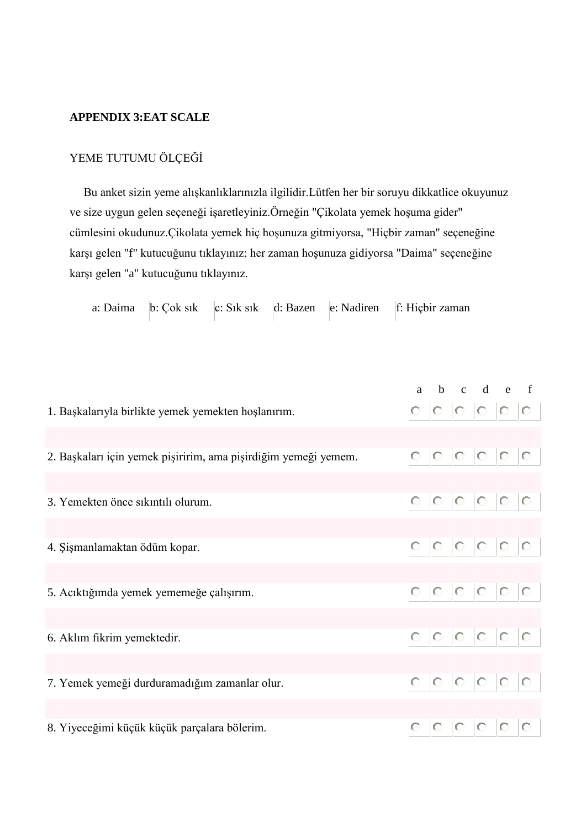### **APPENDIX 3:EAT SCALE**

### YEME TUTUMU ÖLÇEĞİ

Bu anket sizin yeme alışkanlıklarınızla ilgilidir.Lütfen her bir soruyu dikkatlice okuyunuz ve size uygun gelen seçeneği işaretleyiniz.Örneğin "Çikolata yemek hoşuma gider" cümlesini okudunuz.Çikolata yemek hiç hoĢunuza gitmiyorsa, "Hiçbir zaman" seçeneğine karşı gelen "f" kutucuğunu tıklayınız; her zaman hoşunuza gidiyorsa "Daima" seçeneğine karşı gelen "a" kutucuğunu tıklayınız.

a: Daima b: Çok sık c: Sık sık d: Bazen e: Nadiren f: Hiçbir zaman

|                                                                 |  | a b c d e f             |  |  |
|-----------------------------------------------------------------|--|-------------------------|--|--|
| 1. Başkalarıyla birlikte yemek yemekten hoşlanırım.             |  | 0 0 0 0 0 0             |  |  |
|                                                                 |  |                         |  |  |
| 2. Başkaları için yemek pişiririm, ama pişirdiğim yemeği yemem. |  | $0 \t0 \t0 \t0 \t0 \t0$ |  |  |
|                                                                 |  |                         |  |  |
| 3. Yemekten önce sıkıntılı olurum.                              |  | 0 0 0 0 0 0             |  |  |
|                                                                 |  |                         |  |  |
| 4. Şişmanlamaktan ödüm kopar.                                   |  | $0 \t0 \t0 \t0 \t0 \t0$ |  |  |
|                                                                 |  |                         |  |  |
| 5. Acıktığımda yemek yememeğe çalışırım.                        |  | 0 0 0 0 0 0             |  |  |
|                                                                 |  |                         |  |  |
| 6. Aklım fikrim yemektedir.                                     |  | 0 0 0 0 0 0             |  |  |
|                                                                 |  |                         |  |  |
| 7. Yemek yemeği durduramadığım zamanlar olur.                   |  | $0 \t0 \t0 \t0 \t0 \t0$ |  |  |
|                                                                 |  |                         |  |  |
| 8. Yiyeceğimi küçük küçük parçalara bölerim.                    |  | $0 \t0 \t0 \t0 \t0 \t0$ |  |  |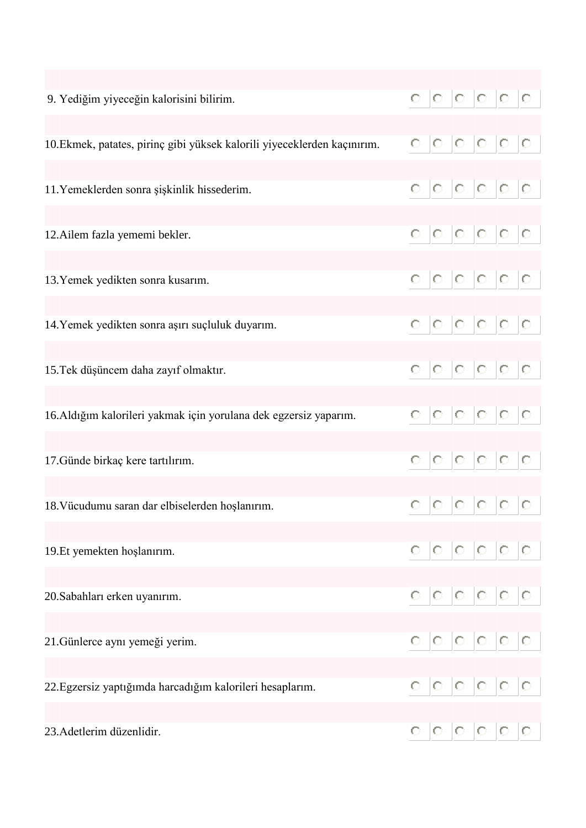| 9. Yediğim yiyeceğin kalorisini bilirim.                                 |  |  | 0 0 0 0 0 0                            |  |
|--------------------------------------------------------------------------|--|--|----------------------------------------|--|
|                                                                          |  |  |                                        |  |
| 10. Ekmek, patates, pirinç gibi yüksek kalorili yiyeceklerden kaçınırım. |  |  | 0 0 0 0 0 0                            |  |
| 11. Yemeklerden sonra şişkinlik hissederim.                              |  |  | 0 0 0 0 0 0                            |  |
|                                                                          |  |  |                                        |  |
| 12. Ailem fazla yememi bekler.                                           |  |  | 0 0 0 0 0 0                            |  |
|                                                                          |  |  |                                        |  |
| 13. Yemek yedikten sonra kusarım.                                        |  |  | 0 0 0 0 0 0                            |  |
|                                                                          |  |  |                                        |  |
| 14. Yemek yedikten sonra aşırı suçluluk duyarım.                         |  |  | $0\quad 0\quad 0\quad 0\quad 0\quad 0$ |  |
|                                                                          |  |  |                                        |  |
| 15. Tek düşüncem daha zayıf olmaktır.                                    |  |  | 0 0 0 0 0 0                            |  |
| 16.Aldığım kalorileri yakmak için yorulana dek egzersiz yaparım.         |  |  | 0 0 0 0 0 0                            |  |
|                                                                          |  |  |                                        |  |
| 17. Günde birkaç kere tartılırım.                                        |  |  | 0 0 0 0 0 0                            |  |
|                                                                          |  |  |                                        |  |
| 18. Vücudumu saran dar elbiselerden hoşlanırım.                          |  |  | 0 0 0 0 0 0                            |  |
|                                                                          |  |  |                                        |  |
| 19.Et yemekten hoşlanırım.                                               |  |  | 0 0 0 0 0 0                            |  |
| 20. Sabahları erken uyanırım.                                            |  |  | 0 0 0 0 0 0                            |  |
|                                                                          |  |  |                                        |  |
| 21. Günlerce aynı yemeği yerim.                                          |  |  | 0 0 0 0 0 0                            |  |
|                                                                          |  |  |                                        |  |
| 22. Egzersiz yaptığımda harcadığım kalorileri hesaplarım.                |  |  | 0 0 0 0 0 0                            |  |
|                                                                          |  |  |                                        |  |
| 23. Adetlerim düzenlidir.                                                |  |  | $0 \t0 \t0 \t0 \t0 \t0$                |  |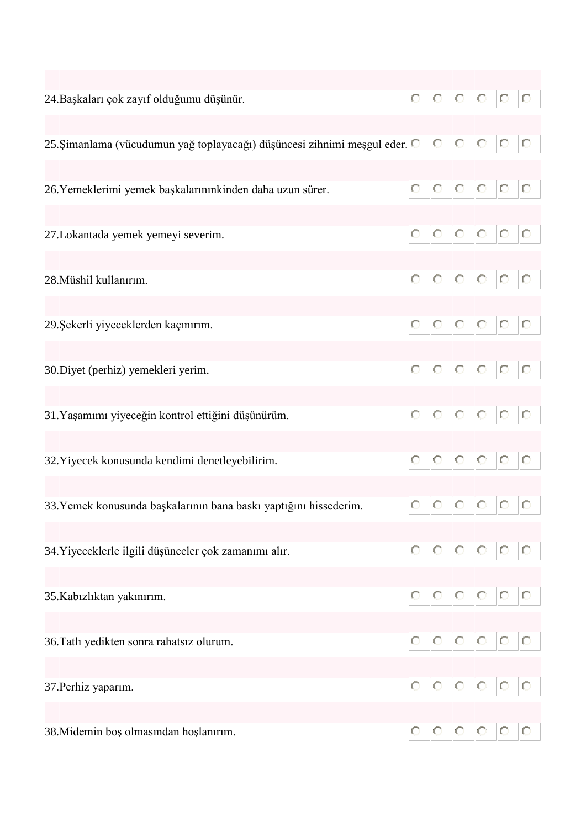| 24. Başkaları çok zayıf olduğumu düşünür.                                          |  |  | 0 0 0 0 0 0             |  |
|------------------------------------------------------------------------------------|--|--|-------------------------|--|
| 25. Șimanlama (vücudumun yağ toplayacağı) düşüncesi zihnimi meşgul eder. O O O O O |  |  |                         |  |
| 26. Yemeklerimi yemek başkalarınınkinden daha uzun sürer.                          |  |  | 0 0 0 0 0 0             |  |
| 27. Lokantada yemek yemeyi severim.                                                |  |  | 0 0 0 0 0 0             |  |
| 28. Müshil kullanırım.                                                             |  |  | 0 0 0 0 0 0             |  |
| 29. Şekerli yiyeceklerden kaçınırım.                                               |  |  | 0 0 0 0 0 0             |  |
| 30. Diyet (perhiz) yemekleri yerim.                                                |  |  | 0 0 0 0 0 0             |  |
| 31. Yaşamımı yiyeceğin kontrol ettiğini düşünürüm.                                 |  |  | 0 0 0 0 0 0             |  |
| 32. Yiyecek konusunda kendimi denetleyebilirim.                                    |  |  | 0 0 0 0 0 0             |  |
| 33. Yemek konusunda başkalarının bana baskı yaptığını hissederim.                  |  |  | $0 \t0 \t0 \t0 \t0 \t0$ |  |
| 34. Yiyeceklerle ilgili düşünceler çok zamanımı alır.                              |  |  | $0 \t0 \t0 \t0 \t0 \t0$ |  |
| 35.Kabızlıktan yakınırım.                                                          |  |  | 0 0 0 0 0 0             |  |
| 36. Tatlı yedikten sonra rahatsız olurum.                                          |  |  | $0 \t0 \t0 \t0 \t0 \t0$ |  |
| 37. Perhiz yaparım.                                                                |  |  | 0 0 0 0 0 0             |  |
| 38. Midemin boş olmasından hoşlanırım.                                             |  |  | $0 \t0 \t0 \t0 \t0 \t0$ |  |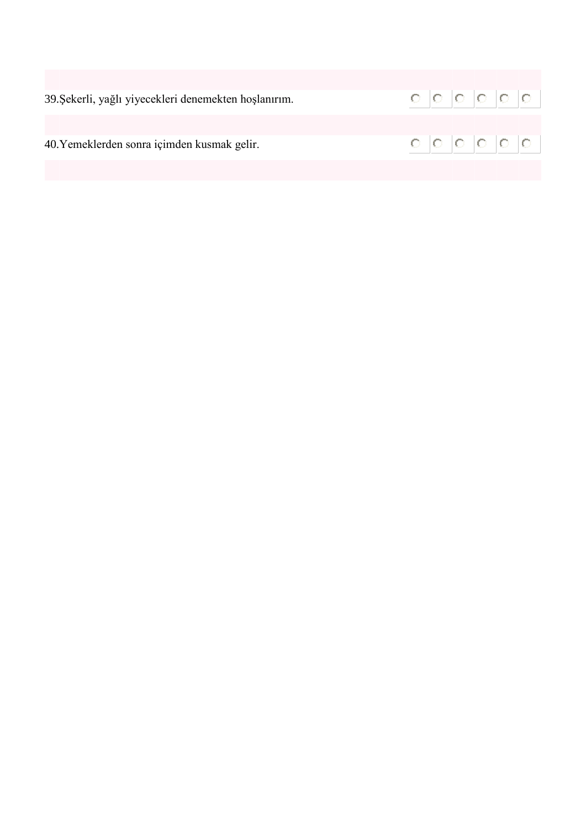| 39. Şekerli, yağlı yiyecekleri denemekten hoşlanırım. |  |  | 0 0 0 0 0 0 |  |
|-------------------------------------------------------|--|--|-------------|--|
|                                                       |  |  |             |  |
| 40. Yemeklerden sonra içimden kusmak gelir.           |  |  | 0 0 0 0 0 0 |  |